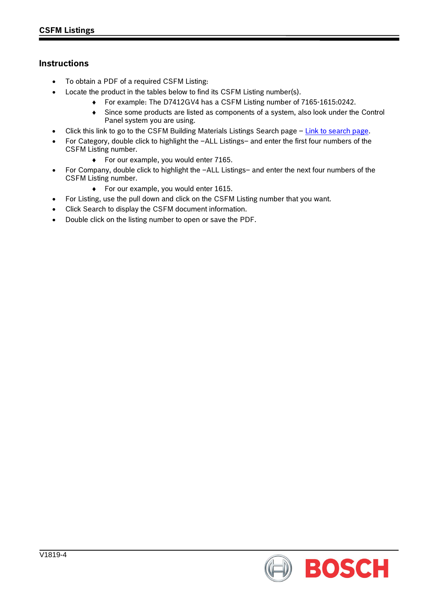## **Instructions**

- To obtain a PDF of a required CSFM Listing:
- Locate the product in the tables below to find its CSFM Listing number(s).
	- ♦ For example: The D7412GV4 has a CSFM Listing number of 7165-1615:0242.
	- ♦ Since some products are listed as components of a system, also look under the Control Panel system you are using.
- Click this link to go to the CSFM Building Materials Listings Search page [Link to search page.](http://osfm.fire.ca.gov/licensinglistings/licenselisting_bml_searchcotest.php)
- For Category, double click to highlight the –ALL Listings– and enter the first four numbers of the CSFM Listing number.
	- ♦ For our example, you would enter 7165.
- For Company, double click to highlight the –ALL Listings– and enter the next four numbers of the CSFM Listing number.
	- ♦ For our example, you would enter 1615.
- For Listing, use the pull down and click on the CSFM Listing number that you want.
- Click Search to display the CSFM document information.
- Double click on the listing number to open or save the PDF.

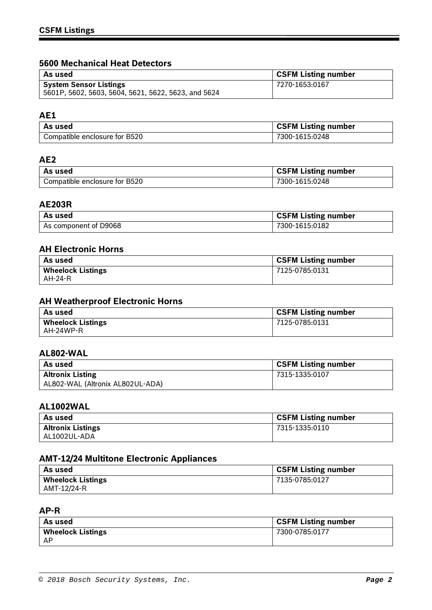## **5600 Mechanical Heat Detectors**

| As used                                             | <b>CSFM Listing number</b> |
|-----------------------------------------------------|----------------------------|
| <b>System Sensor Listings</b>                       | 7270-1653:0167             |
| 5601P, 5602, 5603, 5604, 5621, 5622, 5623, and 5624 |                            |

### **AE1**

| As used                       | <b>CSFM Listing number</b> |
|-------------------------------|----------------------------|
| Compatible enclosure for B520 | 7300-1615:0248             |

## **AE2**

| l As used                     | <b>CSFM Listing number</b> |
|-------------------------------|----------------------------|
| Compatible enclosure for B520 | 7300-1615:0248             |

### **AE203R**

| As used               | <b>CSFM Listing number</b> |
|-----------------------|----------------------------|
| As component of D9068 | 7300-1615:0182             |

### **AH Electronic Horns**

| As used                             | <b>CSFM Listing number</b> |
|-------------------------------------|----------------------------|
| <b>Wheelock Listings</b><br>AH-24-R | 7125-0785:0131             |
|                                     |                            |

## **AH Weatherproof Electronic Horns**

| As used                  | <b>CSFM Listing number</b> |
|--------------------------|----------------------------|
| <b>Wheelock Listings</b> | 7125-0785:0131             |
| AH-24WP-R                |                            |

## **AL802-WAL**

| As used                          | <b>CSFM Listing number</b> |
|----------------------------------|----------------------------|
| <b>Altronix Listing</b>          | 7315-1335:0107             |
| AL802-WAL (Altronix AL802UL-ADA) |                            |

### **AL1002WAL**

| As used                  | <b>CSFM Listing number</b> |
|--------------------------|----------------------------|
| <b>Altronix Listings</b> | 7315-1335:0110             |
| AL1002UL-ADA             |                            |

# **AMT-12/24 Multitone Electronic Appliances**

| ' As used                               | <b>CSFM Listing number</b> |
|-----------------------------------------|----------------------------|
| <b>Wheelock Listings</b><br>AMT-12/24-R | 7135-0785:0127             |
|                                         |                            |

### **AP-R**

| As used                  | GSFM Listing number |
|--------------------------|---------------------|
| <b>Wheelock Listings</b> | 7300-0785:0177      |
| - AP                     |                     |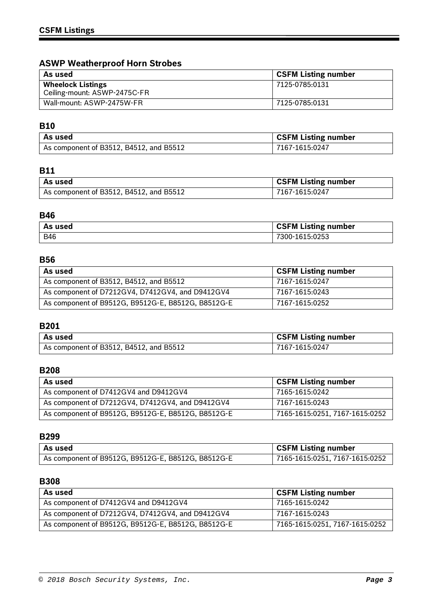# **ASWP Weatherproof Horn Strobes**

| As used                      | <b>CSFM Listing number</b> |
|------------------------------|----------------------------|
| <b>Wheelock Listings</b>     | 7125-0785:0131             |
| Ceiling-mount: ASWP-2475C-FR |                            |
| Wall-mount: ASWP-2475W-FR    | 7125-0785:0131             |

# **B10**

| As used                                 | <b>CSFM Listing number</b> |
|-----------------------------------------|----------------------------|
| As component of B3512, B4512, and B5512 | 7167-1615:0247             |

# **B11**

| As used                                 | <b>CSFM Listing number</b> |
|-----------------------------------------|----------------------------|
| As component of B3512, B4512, and B5512 | 7167-1615:0247             |

## **B46**

| As used    | <b>CSFM Listing number</b> |
|------------|----------------------------|
| <b>B46</b> | 300-1615:0253'             |

## **B56**

| As used                                            | <b>CSFM Listing number</b> |
|----------------------------------------------------|----------------------------|
| As component of B3512, B4512, and B5512            | 7167-1615:0247             |
| As component of D7212GV4, D7412GV4, and D9412GV4   | 7167-1615:0243             |
| As component of B9512G, B9512G-E, B8512G, B8512G-E | 7167-1615:0252             |

# **B201**

| l As used                               | <b>CSFM Listing number</b> |
|-----------------------------------------|----------------------------|
| As component of B3512, B4512, and B5512 | 7167-1615:0247             |

### **B208**

| As used                                            | <b>CSFM Listing number</b>     |
|----------------------------------------------------|--------------------------------|
| As component of D7412GV4 and D9412GV4              | 7165-1615:0242                 |
| As component of D7212GV4, D7412GV4, and D9412GV4   | 7167-1615:0243                 |
| As component of B9512G, B9512G-E, B8512G, B8512G-E | 7165-1615:0251, 7167-1615:0252 |

#### **B299**

| As used                                            | <b>CSFM Listing number</b>     |
|----------------------------------------------------|--------------------------------|
| As component of B9512G, B9512G-E, B8512G, B8512G-E | 7165-1615:0251, 7167-1615:0252 |

# **B308**

| As used                                            | <b>CSFM Listing number</b>     |
|----------------------------------------------------|--------------------------------|
| As component of D7412GV4 and D9412GV4              | 7165-1615:0242                 |
| As component of D7212GV4, D7412GV4, and D9412GV4   | 7167-1615:0243                 |
| As component of B9512G, B9512G-E, B8512G, B8512G-E | 7165-1615:0251, 7167-1615:0252 |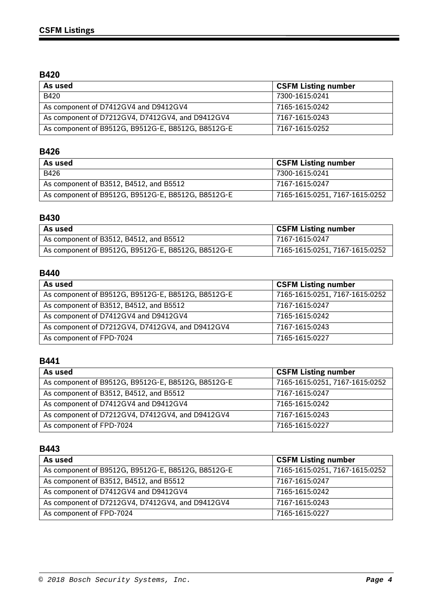## **B420**

| As used                                            | <b>CSFM Listing number</b> |
|----------------------------------------------------|----------------------------|
| B420                                               | 7300-1615:0241             |
| As component of D7412GV4 and D9412GV4              | 7165-1615:0242             |
| As component of D7212GV4, D7412GV4, and D9412GV4   | 7167-1615:0243             |
| As component of B9512G, B9512G-E, B8512G, B8512G-E | 7167-1615:0252             |

# **B426**

| As used                                            | <b>CSFM Listing number</b>     |
|----------------------------------------------------|--------------------------------|
| B426                                               | 7300-1615:0241                 |
| As component of B3512, B4512, and B5512            | 7167-1615:0247                 |
| As component of B9512G, B9512G-E, B8512G, B8512G-E | 7165-1615:0251, 7167-1615:0252 |

## **B430**

| As used                                            | <b>CSFM Listing number</b>     |
|----------------------------------------------------|--------------------------------|
| As component of B3512, B4512, and B5512            | 7167-1615:0247                 |
| As component of B9512G, B9512G-E, B8512G, B8512G-E | 7165-1615:0251, 7167-1615:0252 |

### **B440**

| As used                                            | <b>CSFM Listing number</b>     |
|----------------------------------------------------|--------------------------------|
| As component of B9512G, B9512G-E, B8512G, B8512G-E | 7165-1615:0251, 7167-1615:0252 |
| As component of B3512, B4512, and B5512            | 7167-1615:0247                 |
| As component of D7412GV4 and D9412GV4              | 7165-1615:0242                 |
| As component of D7212GV4, D7412GV4, and D9412GV4   | 7167-1615:0243                 |
| As component of FPD-7024                           | 7165-1615:0227                 |

## **B441**

| As used                                            | <b>CSFM Listing number</b>     |
|----------------------------------------------------|--------------------------------|
| As component of B9512G, B9512G-E, B8512G, B8512G-E | 7165-1615:0251, 7167-1615:0252 |
| As component of B3512, B4512, and B5512            | 7167-1615:0247                 |
| As component of D7412GV4 and D9412GV4              | 7165-1615:0242                 |
| As component of D7212GV4, D7412GV4, and D9412GV4   | 7167-1615:0243                 |
| As component of FPD-7024                           | 7165-1615:0227                 |

### **B443**

| As used                                            | <b>CSFM Listing number</b>     |
|----------------------------------------------------|--------------------------------|
| As component of B9512G, B9512G-E, B8512G, B8512G-E | 7165-1615:0251, 7167-1615:0252 |
| As component of B3512, B4512, and B5512            | 7167-1615:0247                 |
| As component of D7412GV4 and D9412GV4              | 7165-1615:0242                 |
| As component of D7212GV4, D7412GV4, and D9412GV4   | 7167-1615:0243                 |
| As component of FPD-7024                           | 7165-1615:0227                 |

Ξ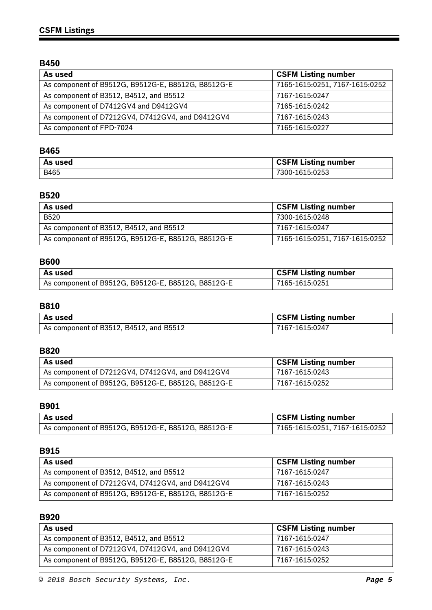# **B450**

| As used                                            | <b>CSFM Listing number</b>     |
|----------------------------------------------------|--------------------------------|
| As component of B9512G, B9512G-E, B8512G, B8512G-E | 7165-1615:0251, 7167-1615:0252 |
| As component of B3512, B4512, and B5512            | 7167-1615:0247                 |
| As component of D7412GV4 and D9412GV4              | 7165-1615:0242                 |
| As component of D7212GV4, D7412GV4, and D9412GV4   | 7167-1615:0243                 |
| As component of FPD-7024                           | 7165-1615:0227                 |

# **B465**

| As used | <b>CSFM Listing number</b> |
|---------|----------------------------|
| B465    | 7300-1615:0253             |

# **B520**

| As used                                            | <b>CSFM Listing number</b>     |
|----------------------------------------------------|--------------------------------|
| <b>B520</b>                                        | 7300-1615:0248                 |
| As component of B3512, B4512, and B5512            | 7167-1615:0247                 |
| As component of B9512G, B9512G-E, B8512G, B8512G-E | 7165-1615:0251, 7167-1615:0252 |

# **B600**

| As used                                            | <b>CSFM Listing number</b> |
|----------------------------------------------------|----------------------------|
| As component of B9512G, B9512G-E, B8512G, B8512G-E | 7165-1615:0251             |

### **B810**

| l As used                               | <b>CSFM Listing number</b> |
|-----------------------------------------|----------------------------|
| As component of B3512, B4512, and B5512 | 7167-1615:0247             |

## **B820**

| As used                                                 | <b>CSFM Listing number</b> |
|---------------------------------------------------------|----------------------------|
| As component of D7212GV4, D7412GV4, and D9412GV4        | 7167-1615:0243             |
| $^1$ As component of B9512G, B9512G-E, B8512G, B8512G-E | 7167-1615:0252             |

### **B901**

| ∣ As used                                          | <b>CSFM Listing number</b>     |
|----------------------------------------------------|--------------------------------|
| As component of B9512G, B9512G-E, B8512G, B8512G-E | 7165-1615:0251, 7167-1615:0252 |

## **B915**

| As used                                            | <b>CSFM Listing number</b> |
|----------------------------------------------------|----------------------------|
| As component of B3512, B4512, and B5512            | 7167-1615:0247             |
| As component of D7212GV4, D7412GV4, and D9412GV4   | 7167-1615:0243             |
| As component of B9512G, B9512G-E, B8512G, B8512G-E | 7167-1615:0252             |

### **B920**

| As used                                            | <b>CSFM Listing number</b> |
|----------------------------------------------------|----------------------------|
| As component of B3512, B4512, and B5512            | 7167-1615:0247             |
| As component of D7212GV4, D7412GV4, and D9412GV4   | 7167-1615:0243             |
| As component of B9512G, B9512G-E, B8512G, B8512G-E | 7167-1615:0252             |

ī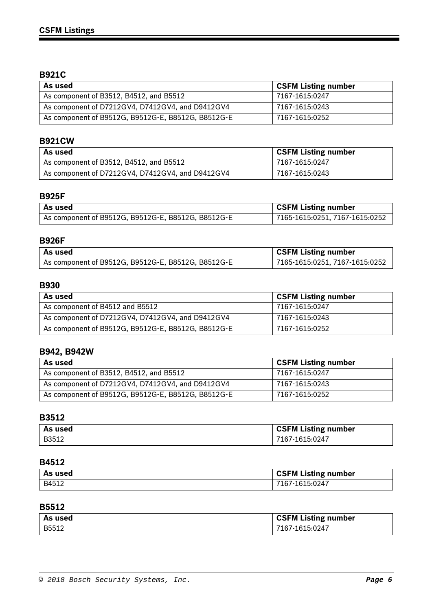# **B921C**

| As used                                            | <b>CSFM Listing number</b> |
|----------------------------------------------------|----------------------------|
| As component of B3512, B4512, and B5512            | 7167-1615:0247             |
| As component of D7212GV4, D7412GV4, and D9412GV4   | 7167-1615:0243             |
| As component of B9512G, B9512G-E, B8512G, B8512G-E | 7167-1615:0252             |

# **B921CW**

| ∣ As used                                        | <b>CSFM Listing number</b> |
|--------------------------------------------------|----------------------------|
| As component of B3512, B4512, and B5512          | 7167-1615:0247             |
| As component of D7212GV4, D7412GV4, and D9412GV4 | 7167-1615:0243             |

# **B925F**

| l As used                                          | <b>CSFM Listing number</b>     |
|----------------------------------------------------|--------------------------------|
| As component of B9512G, B9512G-E, B8512G, B8512G-E | 7165-1615:0251, 7167-1615:0252 |

### **B926F**

| l As used                                          | <b>CSFM Listing number</b>     |
|----------------------------------------------------|--------------------------------|
| As component of B9512G, B9512G-E, B8512G, B8512G-E | 7165-1615:0251, 7167-1615:0252 |

### **B930**

| As used                                            | <b>CSFM Listing number</b> |
|----------------------------------------------------|----------------------------|
| As component of B4512 and B5512                    | 7167-1615:0247             |
| As component of D7212GV4, D7412GV4, and D9412GV4   | 7167-1615:0243             |
| As component of B9512G, B9512G-E, B8512G, B8512G-E | 7167-1615:0252             |

# **B942, B942W**

| As used                                            | <b>CSFM Listing number</b> |
|----------------------------------------------------|----------------------------|
| As component of B3512, B4512, and B5512            | 7167-1615:0247             |
| As component of D7212GV4, D7412GV4, and D9412GV4   | 7167-1615:0243             |
| As component of B9512G, B9512G-E, B8512G, B8512G-E | 7167-1615:0252             |

## **B3512**

| As used | <b>CSFM Listing number</b> |
|---------|----------------------------|
| B3512   | 7167-1615:0247             |

#### **B4512**

| As used | CSFM Listing number |
|---------|---------------------|
| B4512   | 7167-1615:0247      |

## **B5512**

| As used | <b>CSFM Listing number</b> |
|---------|----------------------------|
| B5512   | 7167-1615:0247             |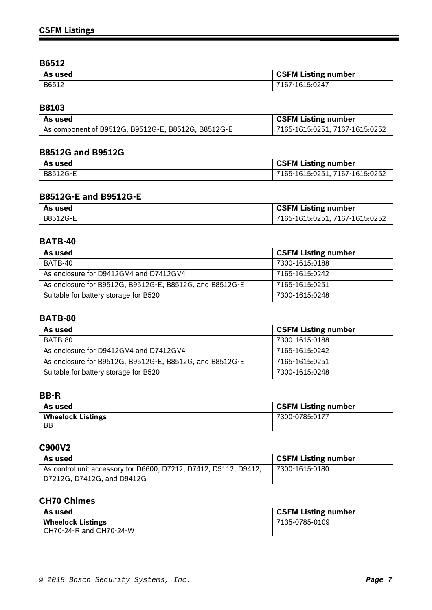## **B6512**

| As used | <b>CSFM Listing number</b> |
|---------|----------------------------|
| B6512   | 167-1615:0247              |

# **B8103**

| l As used                                          | <b>CSFM Listing number</b>     |
|----------------------------------------------------|--------------------------------|
| As component of B9512G, B9512G-E, B8512G, B8512G-E | 7165-1615:0251, 7167-1615:0252 |

## **B8512G and B9512G**

| As used  | <b>CSFM Listing number</b>     |
|----------|--------------------------------|
| B8512G-E | 7165-1615:0251, 7167-1615:0252 |

## **B8512G-E and B9512G-E**

| l As used | CSFM Listing number            |
|-----------|--------------------------------|
| B8512G-E  | 7165-1615:0251, 7167-1615:0252 |

### **BATB-40**

| As used                                                 | <b>CSFM Listing number</b> |
|---------------------------------------------------------|----------------------------|
| BATB-40                                                 | 7300-1615:0188             |
| As enclosure for D9412GV4 and D7412GV4                  | 7165-1615:0242             |
| As enclosure for B9512G, B9512G-E, B8512G, and B8512G-E | 7165-1615:0251             |
| Suitable for battery storage for B520                   | 7300-1615:0248             |

### **BATB-80**

| As used                                                 | <b>CSFM Listing number</b> |
|---------------------------------------------------------|----------------------------|
| BATB-80                                                 | 7300-1615:0188             |
| As enclosure for D9412GV4 and D7412GV4                  | 7165-1615:0242             |
| As enclosure for B9512G, B9512G-E, B8512G, and B8512G-E | 7165-1615:0251             |
| Suitable for battery storage for B520                   | 7300-1615:0248             |

### **BB-R**

| As used                               | <b>CSFM Listing number</b> |
|---------------------------------------|----------------------------|
| <b>Wheelock Listings</b><br><b>BB</b> | 7300-0785:0177             |
|                                       |                            |

### **C900V2**

| As used                                                          | <b>CSFM Listing number</b> |
|------------------------------------------------------------------|----------------------------|
| As control unit accessory for D6600, D7212, D7412, D9112, D9412, | 7300-1615:0180             |
| D7212G, D7412G, and D9412G                                       |                            |

# **CH70 Chimes**

| As used                  | <b>CSFM Listing number</b> |
|--------------------------|----------------------------|
| <b>Wheelock Listings</b> | 7135-0785-0109             |
| CH70-24-R and CH70-24-W  |                            |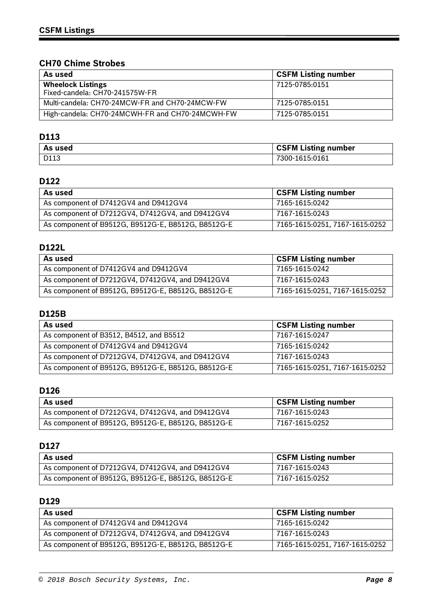# **CH70 Chime Strobes**

| As used                                                    | <b>CSFM Listing number</b> |
|------------------------------------------------------------|----------------------------|
| <b>Wheelock Listings</b><br>Fixed-candela: CH70-241575W-FR | 7125-0785:0151             |
| Multi-candela: CH70-24MCW-FR and CH70-24MCW-FW             | 7125-0785:0151             |
| High-candela: CH70-24MCWH-FR and CH70-24MCWH-FW            | 7125-0785:0151             |

# **D113**

| As used | <b>CSFM Listing number</b> |
|---------|----------------------------|
| D113    | 7300-1615:0161             |

## **D122**

| As used                                            | <b>CSFM Listing number</b>     |
|----------------------------------------------------|--------------------------------|
| As component of D7412GV4 and D9412GV4              | 7165-1615:0242                 |
| As component of D7212GV4, D7412GV4, and D9412GV4   | 7167-1615:0243                 |
| As component of B9512G, B9512G-E, B8512G, B8512G-E | 7165-1615:0251, 7167-1615:0252 |

# **D122L**

| As used                                            | <b>CSFM Listing number</b>     |
|----------------------------------------------------|--------------------------------|
| As component of D7412GV4 and D9412GV4              | 7165-1615:0242                 |
| As component of D7212GV4, D7412GV4, and D9412GV4   | 7167-1615:0243                 |
| As component of B9512G, B9512G-E, B8512G, B8512G-E | 7165-1615:0251, 7167-1615:0252 |

# **D125B**

| As used                                            | <b>CSFM Listing number</b>     |
|----------------------------------------------------|--------------------------------|
| As component of B3512, B4512, and B5512            | 7167-1615:0247                 |
| As component of D7412GV4 and D9412GV4              | 7165-1615:0242                 |
| As component of D7212GV4, D7412GV4, and D9412GV4   | 7167-1615:0243                 |
| As component of B9512G, B9512G-E, B8512G, B8512G-E | 7165-1615:0251, 7167-1615:0252 |

### **D126**

| As used                                            | <b>CSFM Listing number</b> |
|----------------------------------------------------|----------------------------|
| As component of D7212GV4, D7412GV4, and D9412GV4   | 7167-1615:0243             |
| As component of B9512G, B9512G-E, B8512G, B8512G-E | 7167-1615:0252             |

## **D127**

| As used                                            | <b>CSFM Listing number</b> |
|----------------------------------------------------|----------------------------|
| As component of D7212GV4, D7412GV4, and D9412GV4   | 7167-1615:0243             |
| As component of B9512G, B9512G-E, B8512G, B8512G-E | 7167-1615:0252             |

## **D129**

| As used                                            | <b>CSFM Listing number</b>     |
|----------------------------------------------------|--------------------------------|
| As component of D7412GV4 and D9412GV4              | 7165-1615:0242                 |
| As component of D7212GV4, D7412GV4, and D9412GV4   | 7167-1615:0243                 |
| As component of B9512G, B9512G-E, B8512G, B8512G-E | 7165-1615:0251, 7167-1615:0252 |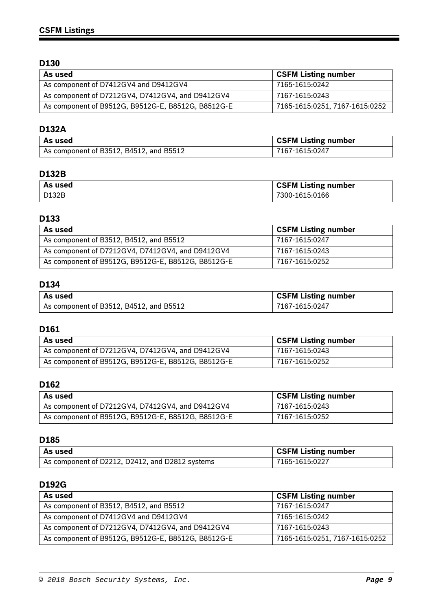| As used                                            | <b>CSFM Listing number</b>     |
|----------------------------------------------------|--------------------------------|
| As component of D7412GV4 and D9412GV4              | 7165-1615:0242                 |
| As component of D7212GV4, D7412GV4, and D9412GV4   | 7167-1615:0243                 |
| As component of B9512G, B9512G-E, B8512G, B8512G-E | 7165-1615:0251, 7167-1615:0252 |

### **D132A**

| As used                                 | <b>CSFM Listing number</b> |
|-----------------------------------------|----------------------------|
| As component of B3512, B4512, and B5512 | 7167-1615:0247             |

# **D132B**

| As used | <b>CSFM Listing number</b> |
|---------|----------------------------|
| D132B   | 7300-1615:0166             |

### **D133**

| As used                                            | <b>CSFM Listing number</b> |
|----------------------------------------------------|----------------------------|
| As component of B3512, B4512, and B5512            | 7167-1615:0247             |
| As component of D7212GV4, D7412GV4, and D9412GV4   | 7167-1615:0243             |
| As component of B9512G, B9512G-E, B8512G, B8512G-E | 7167-1615:0252             |

# **D134**

| l As used                               | <b>CSFM Listing number</b> |
|-----------------------------------------|----------------------------|
| As component of B3512, B4512, and B5512 | 7167-1615:0247             |

# **D161**

| As used                                            | <b>CSFM Listing number</b> |
|----------------------------------------------------|----------------------------|
| As component of D7212GV4, D7412GV4, and D9412GV4   | 7167-1615:0243             |
| As component of B9512G, B9512G-E, B8512G, B8512G-E | 7167-1615:0252             |

#### **D162**

| As used                                            | <b>CSFM Listing number</b> |
|----------------------------------------------------|----------------------------|
| As component of D7212GV4, D7412GV4, and D9412GV4   | 7167-1615:0243             |
| As component of B9512G, B9512G-E, B8512G, B8512G-E | 7167-1615:0252             |

#### **D185**

| l As used                                       | <b>CSFM Listing number</b> |
|-------------------------------------------------|----------------------------|
| As component of D2212, D2412, and D2812 systems | 7165-1615:0227             |

### **D192G**

| As used                                            | <b>CSFM Listing number</b>     |
|----------------------------------------------------|--------------------------------|
| As component of B3512, B4512, and B5512            | 7167-1615:0247                 |
| As component of D7412GV4 and D9412GV4              | 7165-1615:0242                 |
| As component of D7212GV4, D7412GV4, and D9412GV4   | 7167-1615:0243                 |
| As component of B9512G, B9512G-E, B8512G, B8512G-E | 7165-1615:0251, 7167-1615:0252 |

Ξ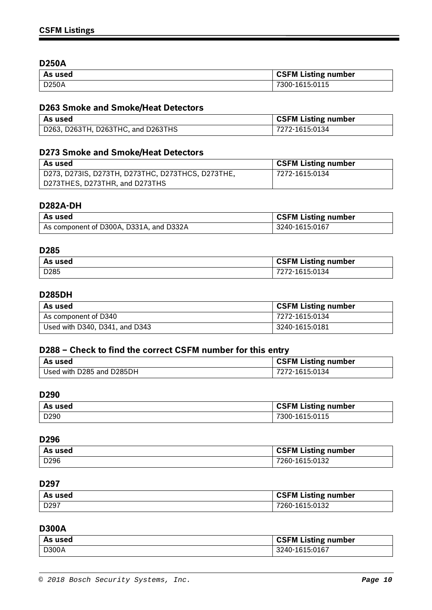### **D250A**

| As used | <b>CSFM Listing number</b> |
|---------|----------------------------|
| D250A   | 7300-1615:0115             |

# **D263 Smoke and Smoke/Heat Detectors**

| l As used                          | <b>CSFM Listing number</b> |
|------------------------------------|----------------------------|
| D263, D263TH, D263THC, and D263THS | 7272-1615:0134             |

## **D273 Smoke and Smoke/Heat Detectors**

| As used                                           | <b>CSFM Listing number</b> |
|---------------------------------------------------|----------------------------|
| D273, D273IS, D273TH, D273THC, D273THCS, D273THE, | 7272-1615:0134             |
| D273THES, D273THR, and D273THS                    |                            |

## **D282A-DH**

| As used                                 | <b>CSFM Listing number</b> |
|-----------------------------------------|----------------------------|
| As component of D300A, D331A, and D332A | 3240-1615:0167             |

### **D285**

| As used          | <b>CSFM Listing number</b> |
|------------------|----------------------------|
| D <sub>285</sub> | 7272-1615:0134             |

### **D285DH**

| ' As used                      | <b>CSFM Listing number</b> |
|--------------------------------|----------------------------|
| As component of D340           | 7272-1615:0134             |
| Used with D340, D341, and D343 | 3240-1615:0181             |

## **D288 – Check to find the correct CSFM number for this entry**

| l As used                 | <b>CSFM Listing number</b> |
|---------------------------|----------------------------|
| Used with D285 and D285DH | 7272-1615:0134             |

#### **D290**

| As used          | <b>CSFM Listing number</b> |
|------------------|----------------------------|
| D <sub>290</sub> | $-1615:0115$<br>300-       |

#### **D296**

| As used          | <b>CSFM Listing number</b> |
|------------------|----------------------------|
| D <sub>296</sub> | 7260-1615:0132             |

#### **D297**

| l As used | <b>CSFM Listing number</b> |
|-----------|----------------------------|
| D297      | 7260-1615:0132             |

## **D300A**

| As used | <b>CSFM Listing number</b> |
|---------|----------------------------|
| D300A   | 3240-1615:0167             |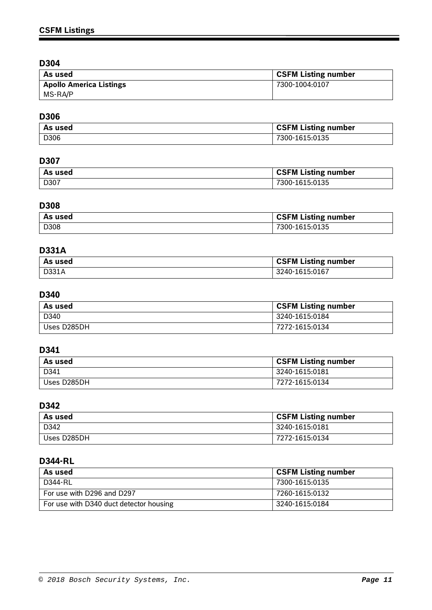| As used                        | <b>CSFM Listing number</b> |
|--------------------------------|----------------------------|
| <b>Apollo America Listings</b> | 7300-1004:0107             |
| MS-RA/P                        |                            |

# **D306**

| As used | <b>CSFM Listing number</b> |
|---------|----------------------------|
| D306    | 7300-1615:0135             |

# **D307**

| As used | <b>CSFM Listing number</b> |
|---------|----------------------------|
| D307    | 7300-1615:0135             |

## **D308**

| As used | <b>CSFM Listing number</b> |
|---------|----------------------------|
| D308    | 7300-1615:0135             |

# **D331A**

| As used | <b>CSFM Listing number</b> |
|---------|----------------------------|
| D331A   | 3240-1615:0167             |

# **D340**

| As used     | <b>CSFM Listing number</b> |
|-------------|----------------------------|
| D340        | 3240-1615:0184             |
| Uses D285DH | 7272-1615:0134             |

# **D341**

| As used     | <b>CSFM Listing number</b> |
|-------------|----------------------------|
| D341        | 3240-1615:0181             |
| Uses D285DH | 7272-1615:0134             |

# **D342**

| As used     | <b>CSFM Listing number</b> |
|-------------|----------------------------|
| D342        | 3240-1615:0181             |
| Uses D285DH | 7272-1615:0134             |

# **D344-RL**

| As used                                 | <b>CSFM Listing number</b> |
|-----------------------------------------|----------------------------|
| D344-RL                                 | 7300-1615:0135             |
| For use with D296 and D297              | 7260-1615:0132             |
| For use with D340 duct detector housing | 3240-1615:0184             |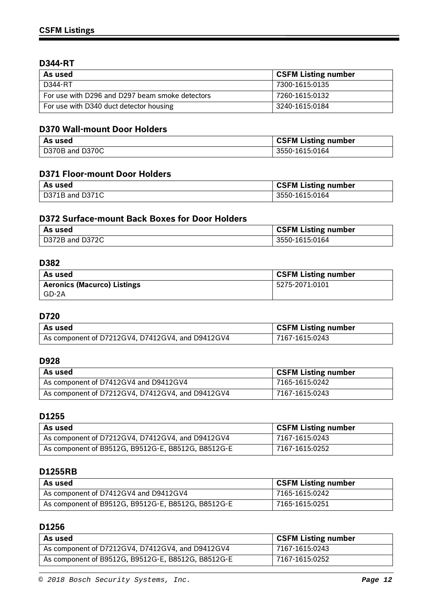## **D344-RT**

| As used                                         | <b>CSFM Listing number</b> |
|-------------------------------------------------|----------------------------|
| D344-RT                                         | 7300-1615:0135             |
| For use with D296 and D297 beam smoke detectors | 7260-1615:0132             |
| For use with D340 duct detector housing         | 3240-1615:0184             |

### **D370 Wall-mount Door Holders**

| As used         | <b>CSFM Listing number</b> |
|-----------------|----------------------------|
| D370B and D370C | 3550-1615:0164             |

### **D371 Floor-mount Door Holders**

| As used         | <b>CSFM Listing number</b> |
|-----------------|----------------------------|
| D371B and D371C | 3550-1615:0164             |

## **D372 Surface-mount Back Boxes for Door Holders**

| As used         | <b>CSFM Listing number</b> |
|-----------------|----------------------------|
| D372B and D372C | 3550-1615:0164             |

### **D382**

| As used                            | <b>CSFM Listing number</b> |
|------------------------------------|----------------------------|
| <b>Aeronics (Macurco) Listings</b> | 5275-2071:0101             |
| GD-2A                              |                            |

## **D720**

| l As used                                        | <b>CSFM Listing number</b> |
|--------------------------------------------------|----------------------------|
| As component of D7212GV4, D7412GV4, and D9412GV4 | 7167-1615:0243             |

## **D928**

| As used                                          | <b>CSFM Listing number</b> |
|--------------------------------------------------|----------------------------|
| As component of D7412GV4 and D9412GV4            | 7165-1615:0242             |
| As component of D7212GV4, D7412GV4, and D9412GV4 | 7167-1615:0243             |

### **D1255**

| As used                                            | <b>CSFM Listing number</b> |
|----------------------------------------------------|----------------------------|
| As component of D7212GV4, D7412GV4, and D9412GV4   | 7167-1615:0243             |
| As component of B9512G, B9512G-E, B8512G, B8512G-E | 7167-1615:0252             |

### **D1255RB**

| As used                                            | <b>CSFM Listing number</b> |
|----------------------------------------------------|----------------------------|
| As component of D7412GV4 and D9412GV4              | 7165-1615:0242             |
| As component of B9512G, B9512G-E, B8512G, B8512G-E | 7165-1615:0251             |

## **D1256**

| As used                                            | <b>CSFM Listing number</b> |
|----------------------------------------------------|----------------------------|
| As component of D7212GV4, D7412GV4, and D9412GV4   | 7167-1615:0243             |
| As component of B9512G, B9512G-E, B8512G, B8512G-E | 7167-1615:0252             |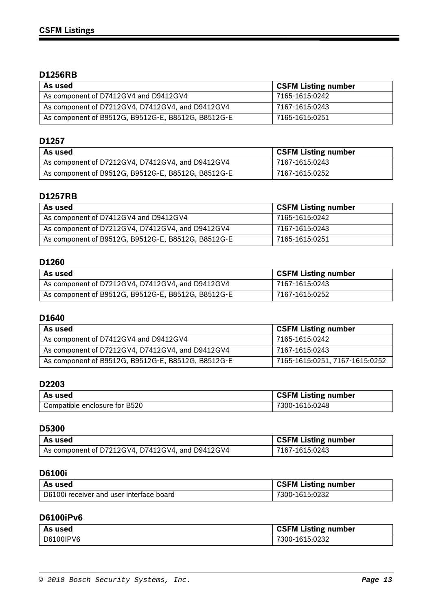## **D1256RB**

| As used                                            | <b>CSFM Listing number</b> |
|----------------------------------------------------|----------------------------|
| As component of D7412GV4 and D9412GV4              | 7165-1615:0242             |
| As component of D7212GV4, D7412GV4, and D9412GV4   | 7167-1615:0243             |
| As component of B9512G, B9512G-E, B8512G, B8512G-E | 7165-1615:0251             |

## **D1257**

| As used                                            | <b>CSFM Listing number</b> |
|----------------------------------------------------|----------------------------|
| As component of D7212GV4, D7412GV4, and D9412GV4   | 7167-1615:0243             |
| As component of B9512G, B9512G-E, B8512G, B8512G-E | 7167-1615:0252             |

# **D1257RB**

| As used                                            | <b>CSFM Listing number</b> |
|----------------------------------------------------|----------------------------|
| As component of D7412GV4 and D9412GV4              | 7165-1615:0242             |
| As component of D7212GV4, D7412GV4, and D9412GV4   | 7167-1615:0243             |
| As component of B9512G, B9512G-E, B8512G, B8512G-E | 7165-1615:0251             |

### **D1260**

| As used                                            | <b>CSFM Listing number</b> |
|----------------------------------------------------|----------------------------|
| As component of D7212GV4, D7412GV4, and D9412GV4   | 7167-1615:0243             |
| As component of B9512G, B9512G-E, B8512G, B8512G-E | 7167-1615:0252             |

### **D1640**

| As used                                            | <b>CSFM Listing number</b>     |
|----------------------------------------------------|--------------------------------|
| As component of D7412GV4 and D9412GV4              | 7165-1615:0242                 |
| As component of D7212GV4, D7412GV4, and D9412GV4   | 7167-1615:0243                 |
| As component of B9512G, B9512G-E, B8512G, B8512G-E | 7165-1615:0251, 7167-1615:0252 |

## **D2203**

| As used                       | <b>CSFM Listing number</b> |
|-------------------------------|----------------------------|
| Compatible enclosure for B520 | 7300-1615:0248             |

# **D5300**

| As used                                          | <b>CSFM Listing number</b> |
|--------------------------------------------------|----------------------------|
| As component of D7212GV4, D7412GV4, and D9412GV4 | 7167-1615:0243             |

## **D6100i**

| As used                                  | <b>CSFM Listing number</b> |
|------------------------------------------|----------------------------|
| D6100i receiver and user interface board | 7300-1615:0232             |

### **D6100iPv6**

| As used   | <b>CSFM Listing number</b> |
|-----------|----------------------------|
| D6100IPV6 | 7300-1615:0232             |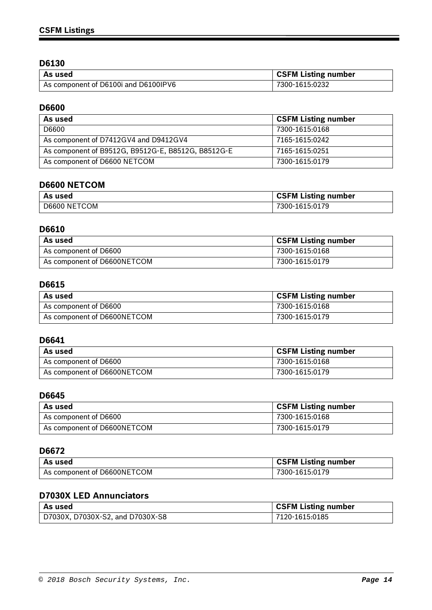| ' As used                            | <b>CSFM Listing number</b> |
|--------------------------------------|----------------------------|
| As component of D6100i and D6100IPV6 | 7300-1615:0232             |

# **D6600**

| As used                                            | <b>CSFM Listing number</b> |
|----------------------------------------------------|----------------------------|
| D6600                                              | 7300-1615:0168             |
| As component of D7412GV4 and D9412GV4              | 7165-1615:0242             |
| As component of B9512G, B9512G-E, B8512G, B8512G-E | 7165-1615:0251             |
| As component of D6600 NETCOM                       | 7300-1615:0179             |

# **D6600 NETCOM**

| As used      | <b>CSFM Listing number</b> |
|--------------|----------------------------|
| D6600 NETCOM | 7300-1615:0179             |

## **D6610**

| As used                     | <b>CSFM Listing number</b> |
|-----------------------------|----------------------------|
| As component of D6600       | 7300-1615:0168             |
| As component of D6600NETCOM | 7300-1615:0179             |

## **D6615**

| As used                     | <b>CSFM Listing number</b> |
|-----------------------------|----------------------------|
| As component of D6600       | 7300-1615:0168             |
| As component of D6600NETCOM | 7300-1615:0179             |

### **D6641**

| As used                     | <b>CSFM Listing number</b> |
|-----------------------------|----------------------------|
| As component of D6600       | 7300-1615:0168             |
| As component of D6600NETCOM | 7300-1615:0179             |

## **D6645**

| As used                     | <b>CSFM Listing number</b> |
|-----------------------------|----------------------------|
| As component of D6600       | 7300-1615:0168             |
| As component of D6600NETCOM | 7300-1615:0179             |

## **D6672**

| As used                     | <b>CSFM Listing number</b> |
|-----------------------------|----------------------------|
| As component of D6600NETCOM | 7300-1615:0179             |

# **D7030X LED Annunciators**

| l As used                        | <b>CSFM Listing number</b> |
|----------------------------------|----------------------------|
| D7030X, D7030X-S2, and D7030X-S8 | 7120-1615:0185             |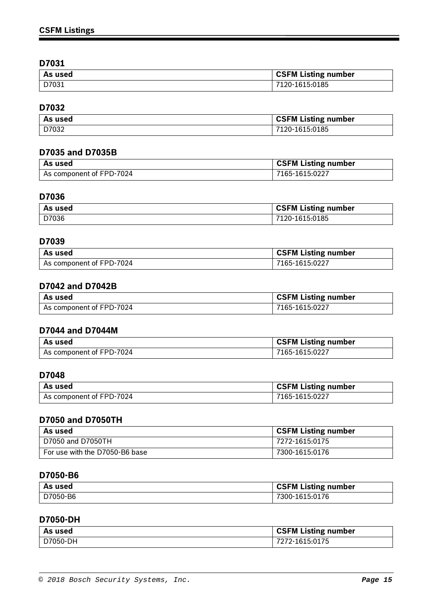| As used | <b>CSFM Listing number</b> |
|---------|----------------------------|
| D7031   | 7120-1615:0185             |

# **D7032**

| As used | CSFM Listing number |
|---------|---------------------|
| D7032   | 7120-1615:0185      |

### **D7035 and D7035B**

| l As used                | <b>CSFM Listing number</b> |
|--------------------------|----------------------------|
| As component of FPD-7024 | 7165-1615:0227             |

## **D7036**

| As used | <b>CSFM Listing number</b> |
|---------|----------------------------|
| D7036   | 120-1615:0185              |

## **D7039**

| As used                  | <b>CSFM Listing number</b> |
|--------------------------|----------------------------|
| As component of FPD-7024 | 7165-1615:0227             |

# **D7042 and D7042B**

| As used                  | <b>CSFM Listing number</b> |
|--------------------------|----------------------------|
| As component of FPD-7024 | 7165-1615:0227             |

## **D7044 and D7044M**

| l As used                | <b>CSFM Listing number</b> |
|--------------------------|----------------------------|
| As component of FPD-7024 | 7165-1615:0227             |

# **D7048**

| As used                  | <b>CSFM Listing number</b> |
|--------------------------|----------------------------|
| As component of FPD-7024 | 7165-1615:0227             |

### **D7050 and D7050TH**

| As used                        | <b>CSFM Listing number</b> |
|--------------------------------|----------------------------|
| D7050 and D7050TH              | 7272-1615:0175             |
| For use with the D7050-B6 base | 7300-1615:0176             |

### **D7050-B6**

| As used  | <b>CSFM Listing number</b> |
|----------|----------------------------|
| D7050-B6 | 7300-1615:0176             |

### **D7050-DH**

| As used  | <b>CSFM Listing number</b> |
|----------|----------------------------|
| D7050-DH | 7272-1615:0175             |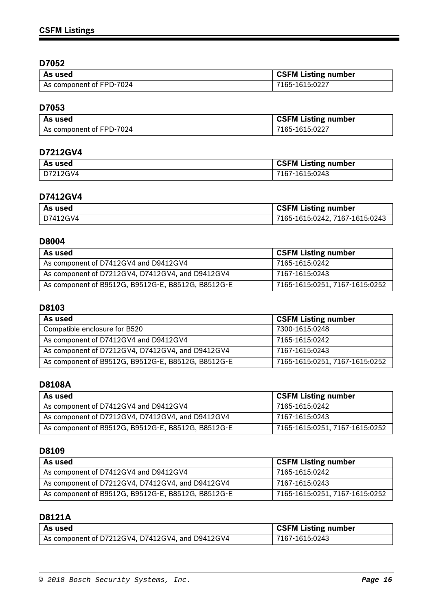| As used                  | <b>CSFM Listing number</b> |
|--------------------------|----------------------------|
| As component of FPD-7024 | 7165-1615:0227             |

# **D7053**

| As used                  | <b>CSFM Listing number</b> |
|--------------------------|----------------------------|
| As component of FPD-7024 | 7165-1615:0227             |

## **D7212GV4**

| As used  | <b>CSFM Listing number</b> |
|----------|----------------------------|
| D7212GV4 | 7167-1615:0243             |

# **D7412GV4**

| ' As used  | <b>CSFM Listing number</b>     |
|------------|--------------------------------|
| l D7412GV4 | 7165-1615:0242, 7167-1615:0243 |

## **D8004**

| As used                                            | <b>CSFM Listing number</b>     |
|----------------------------------------------------|--------------------------------|
| As component of D7412GV4 and D9412GV4              | 7165-1615:0242                 |
| As component of D7212GV4, D7412GV4, and D9412GV4   | 7167-1615:0243                 |
| As component of B9512G, B9512G-E, B8512G, B8512G-E | 7165-1615:0251, 7167-1615:0252 |

## **D8103**

| As used                                            | <b>CSFM Listing number</b>     |
|----------------------------------------------------|--------------------------------|
| Compatible enclosure for B520                      | 7300-1615:0248                 |
| As component of D7412GV4 and D9412GV4              | 7165-1615:0242                 |
| As component of D7212GV4, D7412GV4, and D9412GV4   | 7167-1615:0243                 |
| As component of B9512G, B9512G-E, B8512G, B8512G-E | 7165-1615:0251, 7167-1615:0252 |

### **D8108A**

| As used                                            | <b>CSFM Listing number</b>     |
|----------------------------------------------------|--------------------------------|
| As component of D7412GV4 and D9412GV4              | 7165-1615:0242                 |
| As component of D7212GV4, D7412GV4, and D9412GV4   | 7167-1615:0243                 |
| As component of B9512G, B9512G-E, B8512G, B8512G-E | 7165-1615:0251, 7167-1615:0252 |

# **D8109**

| As used                                            | <b>CSFM Listing number</b>     |
|----------------------------------------------------|--------------------------------|
| As component of D7412GV4 and D9412GV4              | 7165-1615:0242                 |
| As component of D7212GV4, D7412GV4, and D9412GV4   | 7167-1615:0243                 |
| As component of B9512G, B9512G-E, B8512G, B8512G-E | 7165-1615:0251, 7167-1615:0252 |

## **D8121A**

| l As used                                        | <b>CSFM Listing number</b> |
|--------------------------------------------------|----------------------------|
| As component of D7212GV4, D7412GV4, and D9412GV4 | 7167-1615:0243             |

Ξ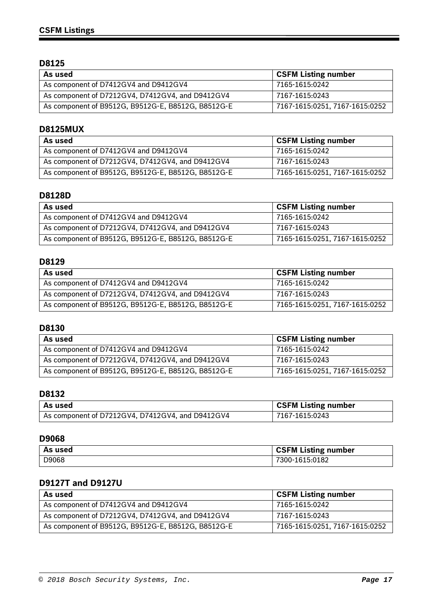| As used                                            | <b>CSFM Listing number</b>     |
|----------------------------------------------------|--------------------------------|
| As component of D7412GV4 and D9412GV4              | 7165-1615:0242                 |
| As component of D7212GV4, D7412GV4, and D9412GV4   | 7167-1615:0243                 |
| As component of B9512G, B9512G-E, B8512G, B8512G-E | 7167-1615:0251, 7167-1615:0252 |

### **D8125MUX**

| As used                                            | <b>CSFM Listing number</b>     |
|----------------------------------------------------|--------------------------------|
| As component of D7412GV4 and D9412GV4              | 7165-1615:0242                 |
| As component of D7212GV4, D7412GV4, and D9412GV4   | 7167-1615:0243                 |
| As component of B9512G, B9512G-E, B8512G, B8512G-E | 7165-1615:0251, 7167-1615:0252 |

### **D8128D**

| As used                                            | <b>CSFM Listing number</b>     |
|----------------------------------------------------|--------------------------------|
| As component of D7412GV4 and D9412GV4              | 7165-1615:0242                 |
| As component of D7212GV4, D7412GV4, and D9412GV4   | 7167-1615:0243                 |
| As component of B9512G, B9512G-E, B8512G, B8512G-E | 7165-1615:0251, 7167-1615:0252 |

# **D8129**

| As used                                            | <b>CSFM Listing number</b>     |
|----------------------------------------------------|--------------------------------|
| As component of D7412GV4 and D9412GV4              | 7165-1615:0242                 |
| As component of D7212GV4, D7412GV4, and D9412GV4   | 7167-1615:0243                 |
| As component of B9512G, B9512G-E, B8512G, B8512G-E | 7165-1615:0251, 7167-1615:0252 |

### **D8130**

| As used                                            | <b>CSFM Listing number</b>     |
|----------------------------------------------------|--------------------------------|
| As component of D7412GV4 and D9412GV4              | 7165-1615:0242                 |
| As component of D7212GV4, D7412GV4, and D9412GV4   | 7167-1615:0243                 |
| As component of B9512G, B9512G-E, B8512G, B8512G-E | 7165-1615:0251, 7167-1615:0252 |

# **D8132**

| As used                                          | <b>CSFM Listing number</b> |
|--------------------------------------------------|----------------------------|
| As component of D7212GV4, D7412GV4, and D9412GV4 | 7167-1615:0243             |

#### **D9068**

| As used | <b>CSFM Listing number</b> |
|---------|----------------------------|
| D9068   | 7300-1615:0182             |

# **D9127T and D9127U**

| As used                                            | <b>CSFM Listing number</b>     |
|----------------------------------------------------|--------------------------------|
| As component of D7412GV4 and D9412GV4              | 7165-1615:0242                 |
| As component of D7212GV4, D7412GV4, and D9412GV4   | 7167-1615:0243                 |
| As component of B9512G, B9512G-E, B8512G, B8512G-E | 7165-1615:0251, 7167-1615:0252 |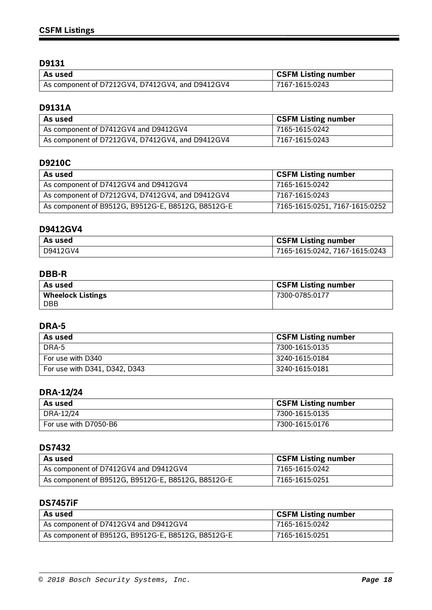| l As used                                        | <b>CSFM Listing number</b> |
|--------------------------------------------------|----------------------------|
| As component of D7212GV4, D7412GV4, and D9412GV4 | 7167-1615:0243             |

# **D9131A**

| As used                                          | <b>CSFM Listing number</b> |
|--------------------------------------------------|----------------------------|
| As component of D7412GV4 and D9412GV4            | 7165-1615:0242             |
| As component of D7212GV4, D7412GV4, and D9412GV4 | 7167-1615:0243             |

# **D9210C**

| As used                                            | <b>CSFM Listing number</b>     |
|----------------------------------------------------|--------------------------------|
| As component of D7412GV4 and D9412GV4              | 7165-1615:0242                 |
| As component of D7212GV4, D7412GV4, and D9412GV4   | 7167-1615:0243                 |
| As component of B9512G, B9512G-E, B8512G, B8512G-E | 7165-1615:0251, 7167-1615:0252 |

## **D9412GV4**

| l As used | <b>CSFM Listing number</b>      |
|-----------|---------------------------------|
| D9412GV4  | 17165-1615:0242, 7167-1615:0243 |

# **DBB-R**

| As used                  | <b>CSFM Listing number</b> |
|--------------------------|----------------------------|
| <b>Wheelock Listings</b> | 7300-0785:0177             |
| <b>DBB</b>               |                            |

# **DRA-5**

| As used                       | <b>CSFM Listing number</b> |
|-------------------------------|----------------------------|
| DRA-5                         | 7300-1615:0135             |
| For use with D340             | 3240-1615:0184             |
| For use with D341, D342, D343 | 3240-1615:0181             |

# **DRA-12/24**

| As used               | <b>CSFM Listing number</b> |
|-----------------------|----------------------------|
| DRA-12/24             | 7300-1615:0135             |
| For use with D7050-B6 | 7300-1615:0176             |

# **DS7432**

| As used                                            | <b>CSFM Listing number</b> |
|----------------------------------------------------|----------------------------|
| As component of D7412GV4 and D9412GV4              | 7165-1615:0242             |
| As component of B9512G, B9512G-E, B8512G, B8512G-E | 7165-1615:0251             |

## **DS7457iF**

| As used                                            | <b>CSFM Listing number</b> |
|----------------------------------------------------|----------------------------|
| As component of D7412GV4 and D9412GV4              | 7165-1615:0242             |
| As component of B9512G, B9512G-E, B8512G, B8512G-E | 7165-1615:0251             |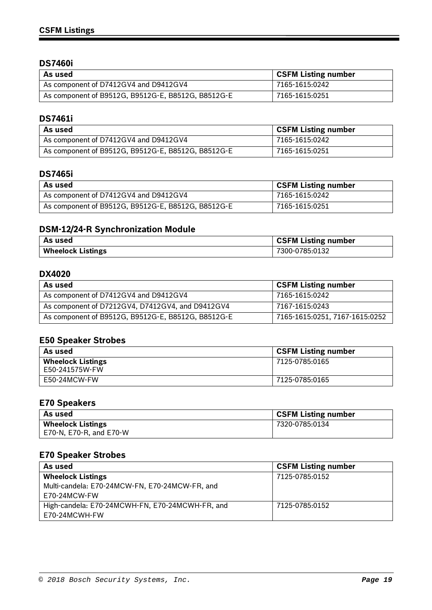# **DS7460i**

| As used                                            | <b>CSFM Listing number</b> |
|----------------------------------------------------|----------------------------|
| As component of D7412GV4 and D9412GV4              | 7165-1615:0242             |
| As component of B9512G, B9512G-E, B8512G, B8512G-E | 7165-1615:0251             |

### **DS7461i**

| As used                                            | <b>CSFM Listing number</b> |
|----------------------------------------------------|----------------------------|
| As component of D7412GV4 and D9412GV4              | 7165-1615:0242             |
| As component of B9512G, B9512G-E, B8512G, B8512G-E | 7165-1615:0251             |

## **DS7465i**

| As used                                            | <b>CSFM Listing number</b> |
|----------------------------------------------------|----------------------------|
| As component of D7412GV4 and D9412GV4              | 7165-1615:0242             |
| As component of B9512G, B9512G-E, B8512G, B8512G-E | 7165-1615:0251             |

# **DSM-12/24-R Synchronization Module**

| As used                  | <b>CSFM Listing number</b> |
|--------------------------|----------------------------|
| <b>Wheelock Listings</b> | 7300-0785:0132             |

# **DX4020**

| As used                                            | <b>CSFM Listing number</b>     |
|----------------------------------------------------|--------------------------------|
| As component of D7412GV4 and D9412GV4              | 7165-1615:0242                 |
| As component of D7212GV4, D7412GV4, and D9412GV4   | 7167-1615:0243                 |
| As component of B9512G, B9512G-E, B8512G, B8512G-E | 7165-1615:0251, 7167-1615:0252 |

# **E50 Speaker Strobes**

| As used                  | <b>CSFM Listing number</b> |
|--------------------------|----------------------------|
| <b>Wheelock Listings</b> | 7125-0785:0165             |
| E50-241575W-FW           |                            |
| E50-24MCW-FW             | 7125-0785:0165             |

# **E70 Speakers**

| As used                  | <b>CSFM Listing number</b> |
|--------------------------|----------------------------|
| <b>Wheelock Listings</b> | 7320-0785:0134             |
| E70-N, E70-R, and E70-W  |                            |

## **E70 Speaker Strobes**

| As used                                         | <b>CSFM Listing number</b> |
|-------------------------------------------------|----------------------------|
| <b>Wheelock Listings</b>                        | 7125-0785:0152             |
| Multi-candela: E70-24MCW-FN, E70-24MCW-FR, and  |                            |
| E70-24MCW-FW                                    |                            |
| High-candela: E70-24MCWH-FN, E70-24MCWH-FR, and | 7125-0785:0152             |
| E70-24MCWH-FW                                   |                            |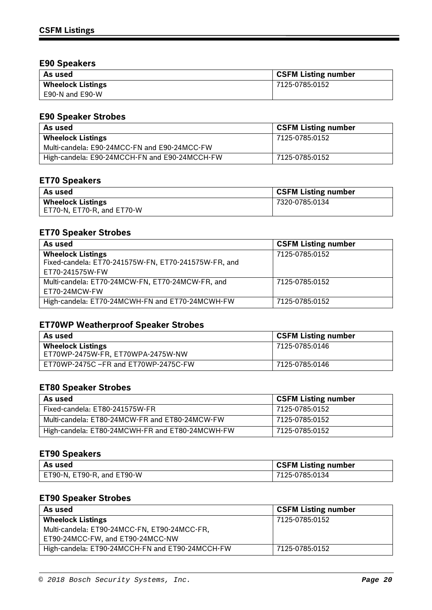## **E90 Speakers**

| As used                  | <b>CSFM Listing number</b> |
|--------------------------|----------------------------|
| <b>Wheelock Listings</b> | 7125-0785:0152             |
| E90-N and E90-W          |                            |

# **E90 Speaker Strobes**

| As used                                       | <b>CSFM Listing number</b> |
|-----------------------------------------------|----------------------------|
| <b>Wheelock Listings</b>                      | 7125-0785:0152             |
| Multi-candela: E90-24MCC-FN and E90-24MCC-FW  |                            |
| High-candela: E90-24MCCH-FN and E90-24MCCH-FW | 7125-0785:0152             |

## **ET70 Speakers**

| As used                    | <b>CSFM Listing number</b> |
|----------------------------|----------------------------|
| <b>Wheelock Listings</b>   | 7320-0785:0134             |
| ET70-N, ET70-R, and ET70-W |                            |

## **ET70 Speaker Strobes**

| As used                                              | <b>CSFM Listing number</b> |
|------------------------------------------------------|----------------------------|
| <b>Wheelock Listings</b>                             | 7125-0785:0152             |
| Fixed-candela: ET70-241575W-FN, ET70-241575W-FR, and |                            |
| ET70-241575W-FW                                      |                            |
| Multi-candela: ET70-24MCW-FN, ET70-24MCW-FR, and     | 7125-0785:0152             |
| ET70-24MCW-FW                                        |                            |
| High-candela: ET70-24MCWH-FN and ET70-24MCWH-FW      | 7125-0785:0152             |

# **ET70WP Weatherproof Speaker Strobes**

| As used                                                       | <b>CSFM Listing number</b> |
|---------------------------------------------------------------|----------------------------|
| <b>Wheelock Listings</b><br>ET70WP-2475W-FR, ET70WPA-2475W-NW | 7125-0785:0146             |
| ET70WP-2475C -FR and ET70WP-2475C-FW                          | 7125-0785:0146             |

# **ET80 Speaker Strobes**

| As used                                         | <b>CSFM Listing number</b> |
|-------------------------------------------------|----------------------------|
| Fixed-candela: ET80-241575W-FR                  | 7125-0785:0152             |
| Multi-candela: ET80-24MCW-FR and ET80-24MCW-FW  | 7125-0785:0152             |
| High-candela: ET80-24MCWH-FR and ET80-24MCWH-FW | 7125-0785:0152             |

## **ET90 Speakers**

| As used                    | <b>CSFM Listing number</b> |
|----------------------------|----------------------------|
| ET90-N, ET90-R, and ET90-W | 7125-0785:0134             |

## **ET90 Speaker Strobes**

| As used                                         | <b>CSFM Listing number</b> |
|-------------------------------------------------|----------------------------|
| <b>Wheelock Listings</b>                        | 7125-0785:0152             |
| Multi-candela: ET90-24MCC-FN, ET90-24MCC-FR,    |                            |
| ET90-24MCC-FW, and ET90-24MCC-NW                |                            |
| High-candela: ET90-24MCCH-FN and ET90-24MCCH-FW | 7125-0785:0152             |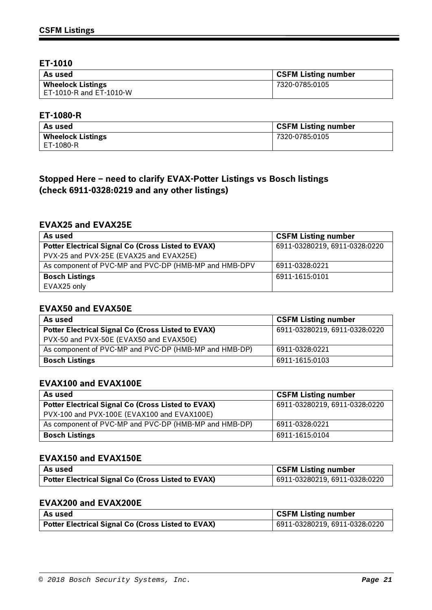## **ET-1010**

| As used                  | <b>CSFM Listing number</b> |
|--------------------------|----------------------------|
| <b>Wheelock Listings</b> | 7320-0785:0105             |
| ET-1010-R and ET-1010-W  |                            |

### **ET-1080-R**

| As used                  | <b>CSFM Listing number</b> |
|--------------------------|----------------------------|
| <b>Wheelock Listings</b> | 7320-0785:0105             |
| ET-1080-R                |                            |

# **Stopped Here – need to clarify EVAX-Potter Listings vs Bosch listings (check 6911-0328:0219 and any other listings)**

### **EVAX25 and EVAX25E**

| As used                                                   | <b>CSFM Listing number</b>    |
|-----------------------------------------------------------|-------------------------------|
| <b>Potter Electrical Signal Co (Cross Listed to EVAX)</b> | 6911-03280219, 6911-0328:0220 |
| PVX-25 and PVX-25E (EVAX25 and EVAX25E)                   |                               |
| As component of PVC-MP and PVC-DP (HMB-MP and HMB-DPV     | 6911-0328:0221                |
| <b>Bosch Listings</b>                                     | 6911-1615:0101                |
| EVAX25 only                                               |                               |

### **EVAX50 and EVAX50E**

| As used                                                   | <b>CSFM Listing number</b>    |
|-----------------------------------------------------------|-------------------------------|
| <b>Potter Electrical Signal Co (Cross Listed to EVAX)</b> | 6911-03280219, 6911-0328:0220 |
| PVX-50 and PVX-50E (EVAX50 and EVAX50E)                   |                               |
| As component of PVC-MP and PVC-DP (HMB-MP and HMB-DP)     | 6911-0328:0221                |
| <b>Bosch Listings</b>                                     | 6911-1615:0103                |

### **EVAX100 and EVAX100E**

| As used                                               | <b>CSFM Listing number</b>    |
|-------------------------------------------------------|-------------------------------|
| Potter Electrical Signal Co (Cross Listed to EVAX)    | 6911-03280219, 6911-0328:0220 |
| PVX-100 and PVX-100E (EVAX100 and EVAX100E)           |                               |
| As component of PVC-MP and PVC-DP (HMB-MP and HMB-DP) | 6911-0328:0221                |
| <b>Bosch Listings</b>                                 | 6911-1615:0104                |

## **EVAX150 and EVAX150E**

| As used                                            | <b>CSFM Listing number</b>    |
|----------------------------------------------------|-------------------------------|
| Potter Electrical Signal Co (Cross Listed to EVAX) | 6911-03280219, 6911-0328:0220 |

### **EVAX200 and EVAX200E**

| As used                                                   | <b>CSFM Listing number</b>    |
|-----------------------------------------------------------|-------------------------------|
| <b>Potter Electrical Signal Co (Cross Listed to EVAX)</b> | 6911-03280219, 6911-0328:0220 |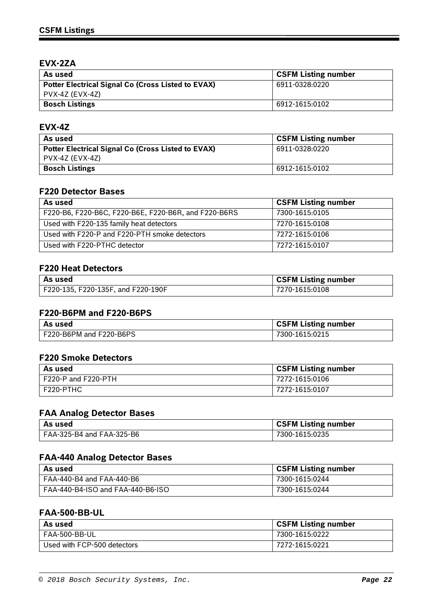# **EVX-2ZA**

| As used                                                   | <b>CSFM Listing number</b> |
|-----------------------------------------------------------|----------------------------|
| <b>Potter Electrical Signal Co (Cross Listed to EVAX)</b> | 6911-0328:0220             |
| PVX-4Z (EVX-4Z)                                           |                            |
| <b>Bosch Listings</b>                                     | 6912-1615:0102             |

### **EVX-4Z**

| As used                                                   | <b>CSFM Listing number</b> |
|-----------------------------------------------------------|----------------------------|
| <b>Potter Electrical Signal Co (Cross Listed to EVAX)</b> | 6911-0328:0220             |
| PVX-4Z (EVX-4Z)                                           |                            |
| <b>Bosch Listings</b>                                     | 6912-1615:0102             |

### **F220 Detector Bases**

| As used                                              | <b>CSFM Listing number</b> |
|------------------------------------------------------|----------------------------|
| F220-B6, F220-B6C, F220-B6E, F220-B6R, and F220-B6RS | 7300-1615:0105             |
| Used with F220-135 family heat detectors             | 7270-1615:0108             |
| Used with F220-P and F220-PTH smoke detectors        | 7272-1615:0106             |
| Used with F220-PTHC detector                         | 7272-1615:0107             |

## **F220 Heat Detectors**

| l As used                          | <b>CSFM Listing number</b> |
|------------------------------------|----------------------------|
| F220-135, F220-135F, and F220-190F | 7270-1615:0108             |

#### **F220-B6PM and F220-B6PS**

| As used                 | <b>CSFM Listing number</b> |
|-------------------------|----------------------------|
| F220-B6PM and F220-B6PS | 7300-1615:0215             |

#### **F220 Smoke Detectors**

| As used             | <b>CSFM Listing number</b> |
|---------------------|----------------------------|
| F220-P and F220-PTH | 7272-1615:0106             |
| F220-PTHC           | 7272-1615:0107             |

## **FAA Analog Detector Bases**

| l As used                 | <b>CSFM Listing number</b> |
|---------------------------|----------------------------|
| FAA-325-B4 and FAA-325-B6 | 7300-1615:0235             |

## **FAA-440 Analog Detector Bases**

| As used                           | <b>CSFM Listing number</b> |
|-----------------------------------|----------------------------|
| FAA-440-B4 and FAA-440-B6         | 7300-1615:0244             |
| FAA-440-B4-ISO and FAA-440-B6-ISO | 7300-1615:0244             |

## **FAA-500-BB-UL**

| As used                     | <b>CSFM Listing number</b> |
|-----------------------------|----------------------------|
| FAA-500-BB-UL               | 7300-1615:0222             |
| Used with FCP-500 detectors | 7272-1615:0221             |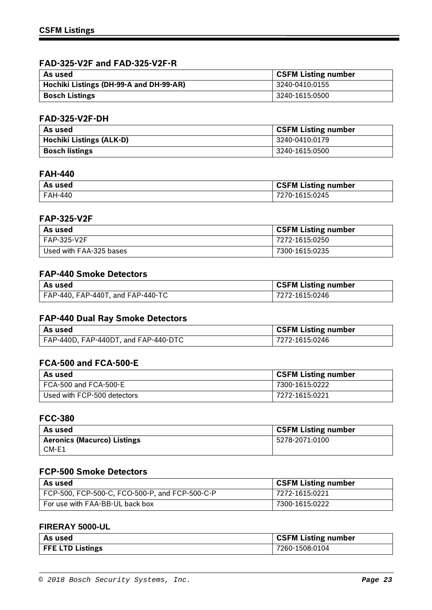## **FAD-325-V2F and FAD-325-V2F-R**

| As used                                 | GSFM Listing number |
|-----------------------------------------|---------------------|
| Hochiki Listings (DH-99-A and DH-99-AR) | 3240-0410:0155      |
| <b>Bosch Listings</b>                   | 3240-1615:0500      |

### **FAD-325-V2F-DH**

| As used                         | <b>CSFM Listing number</b> |
|---------------------------------|----------------------------|
| <b>Hochiki Listings (ALK-D)</b> | 3240-0410:0179             |
| <b>Bosch listings</b>           | 3240-1615:0500             |

### **FAH-440**

| As used | <b>CSFM Listing number</b> |
|---------|----------------------------|
| FAH-440 | 7270-1615:0245             |

#### **FAP-325-V2F**

| As used                 | <b>CSFM Listing number</b> |
|-------------------------|----------------------------|
| FAP-325-V2F             | 7272-1615:0250             |
| Used with FAA-325 bases | 7300-1615:0235             |

## **FAP-440 Smoke Detectors**

| l As used                         | <b>CSFM Listing number</b> |
|-----------------------------------|----------------------------|
| FAP-440, FAP-440T, and FAP-440-TC | 7272-1615:0246             |

## **FAP-440 Dual Ray Smoke Detectors**

| l As used                            | <b>CSFM Listing number</b> |
|--------------------------------------|----------------------------|
| FAP-440D, FAP-440DT, and FAP-440-DTC | 7272-1615:0246             |

### **FCA-500 and FCA-500-E**

| As used                     | <b>CSFM Listing number</b> |
|-----------------------------|----------------------------|
| FCA-500 and FCA-500-E       | 7300-1615:0222             |
| Used with FCP-500 detectors | 7272-1615:0221             |

## **FCC-380**

| As used                            | <b>CSFM Listing number</b> |
|------------------------------------|----------------------------|
| <b>Aeronics (Macurco) Listings</b> | 5278-2071:0100             |
| CM-E1                              |                            |

### **FCP-500 Smoke Detectors**

| As used                                        | <b>CSFM Listing number</b> |
|------------------------------------------------|----------------------------|
| FCP-500, FCP-500-C, FCO-500-P, and FCP-500-C-P | 7272-1615:0221             |
| For use with FAA-BB-UL back box                | 7300-1615:0222             |

#### **FIRERAY 5000-UL**

| As used                 | <b>CSFM Listing number</b> |
|-------------------------|----------------------------|
| <b>FFE LTD Listings</b> | 7260-1508:0104             |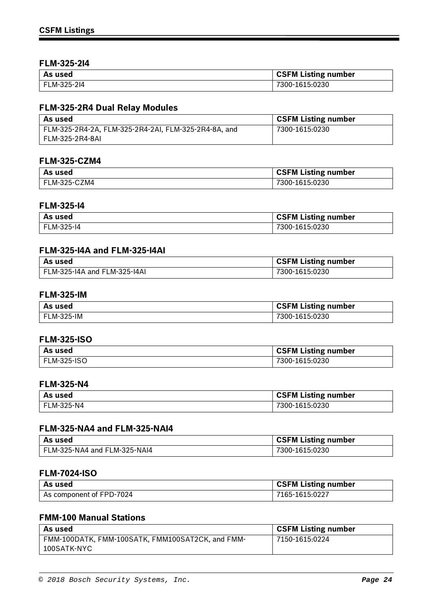### **FLM-325-2I4**

| As used     | <b>CSFM Listing number</b> |
|-------------|----------------------------|
| FLM-325-214 | 7300-1615:0230             |

## **FLM-325-2R4 Dual Relay Modules**

| As used                                              | <b>CSFM Listing number</b> |
|------------------------------------------------------|----------------------------|
| FLM-325-2R4-2A, FLM-325-2R4-2AI, FLM-325-2R4-8A, and | 7300-1615:0230             |
| FLM-325-2R4-8AI                                      |                            |

### **FLM-325-CZM4**

| As used      | <b>CSFM Listing number</b> |
|--------------|----------------------------|
| FLM-325-CZM4 | 7300-1615:0230             |

### **FLM-325-I4**

| As used    | <b>CSFM Listing number</b> |
|------------|----------------------------|
| FLM-325-14 | 7300-1615:0230             |

## **FLM-325-I4A and FLM-325-I4AI**

| As used                      | <b>CSFM Listing number</b> |
|------------------------------|----------------------------|
| FLM-325-I4A and FLM-325-I4AI | 7300-1615:0230             |

### **FLM-325-IM**

| As used    | <b>CSFM Listing number</b> |
|------------|----------------------------|
| FLM-325-IM | 7300-1615:0230             |

### **FLM-325-ISO**

| As used            | <b>CSFM Listing number</b> |
|--------------------|----------------------------|
| <b>FLM-325-ISO</b> | 7300-1615:0230             |

### **FLM-325-N4**

| As used    | <b>CSFM Listing number</b> |
|------------|----------------------------|
| FLM-325-N4 | 7300-1615:0230             |

# **FLM-325-NA4 and FLM-325-NAI4**

| . As used                    | <b>CSFM Listing number</b> |
|------------------------------|----------------------------|
| FLM-325-NA4 and FLM-325-NAI4 | 7300-1615:0230             |

## **FLM-7024-ISO**

| l As used                | <b>CSFM Listing number</b> |
|--------------------------|----------------------------|
| As component of FPD-7024 | 7165-1615:0227             |

# **FMM-100 Manual Stations**

| As used                                          | <b>CSFM Listing number</b> |
|--------------------------------------------------|----------------------------|
| FMM-100DATK, FMM-100SATK, FMM100SAT2CK, and FMM- | 7150-1615:0224             |
| 100SATK-NYC                                      |                            |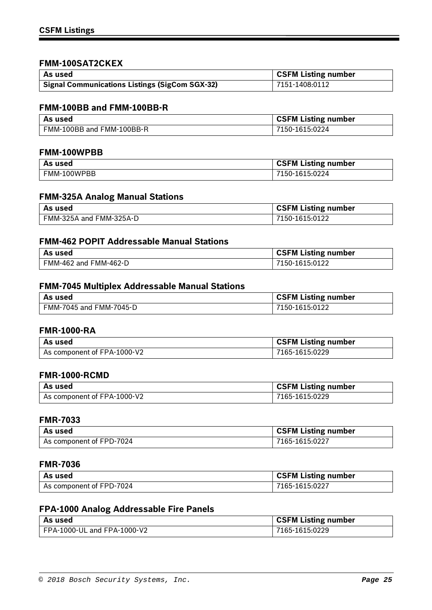### **FMM-100SAT2CKEX**

| l As used                                             | <b>CSFM Listing number</b> |
|-------------------------------------------------------|----------------------------|
| <b>Signal Communications Listings (SigCom SGX-32)</b> | 7151-1408:0112             |

## **FMM-100BB and FMM-100BB-R**

| As used                   | <b>CSFM Listing number</b> |
|---------------------------|----------------------------|
| FMM-100BB and FMM-100BB-R | 7150-1615:0224             |

#### **FMM-100WPBB**

| As used     | <b>CSFM Listing number</b> |
|-------------|----------------------------|
| FMM-100WPBB | 7150-1615:0224             |

### **FMM-325A Analog Manual Stations**

| l As used               | <b>CSFM Listing number</b> |
|-------------------------|----------------------------|
| FMM-325A and FMM-325A-D | 7150-1615:0122             |

### **FMM-462 POPIT Addressable Manual Stations**

| As used               | <b>CSFM Listing number</b> |
|-----------------------|----------------------------|
| FMM-462 and FMM-462-D | 7150-1615:0122             |

## **FMM-7045 Multiplex Addressable Manual Stations**

| . As used               | <b>CSFM Listing number</b> |
|-------------------------|----------------------------|
| FMM-7045 and FMM-7045-D | 7150-1615:0122             |

### **FMR-1000-RA**

| As used                     | <b>CSFM Listing number</b> |
|-----------------------------|----------------------------|
| As component of FPA-1000-V2 | 7165-1615:0229             |

### **FMR-1000-RCMD**

| As used                     | <b>CSFM Listing number</b> |
|-----------------------------|----------------------------|
| As component of FPA-1000-V2 | 7165-1615:0229             |

### **FMR-7033**

| As used                  | <b>CSFM Listing number</b> |
|--------------------------|----------------------------|
| As component of FPD-7024 | 7165-1615:0227             |

### **FMR-7036**

| As used                  | CSFM Listing number |
|--------------------------|---------------------|
| As component of FPD-7024 | 7165-1615:0227      |

# **FPA-1000 Analog Addressable Fire Panels**

| As used                     | <b>CSFM Listing number</b> |
|-----------------------------|----------------------------|
| FPA-1000-UL and FPA-1000-V2 | 7165-1615:0229             |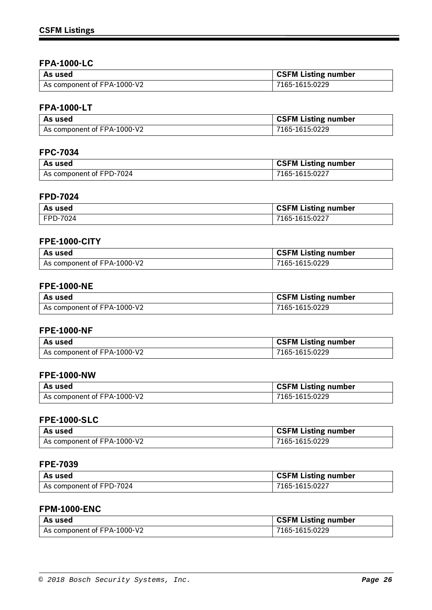### **FPA-1000-LC**

| l As used                   | <b>CSFM Listing number</b> |
|-----------------------------|----------------------------|
| As component of FPA-1000-V2 | 7165-1615:0229             |

# **FPA-1000-LT**

| As used                     | <b>CSFM Listing number</b> |
|-----------------------------|----------------------------|
| As component of FPA-1000-V2 | 7165-1615:0229             |

### **FPC-7034**

| As used                  | <b>CSFM Listing number</b> |
|--------------------------|----------------------------|
| As component of FPD-7024 | 7165-1615:0227             |

## **FPD-7024**

| As used  | <b>CSFM Listing number</b> |
|----------|----------------------------|
| FPD-7024 | 7165-1615:0227             |

### **FPE-1000-CITY**

| As used                     | <b>CSFM Listing number</b> |
|-----------------------------|----------------------------|
| As component of FPA-1000-V2 | 7165-1615:0229             |

## **FPE-1000-NE**

| l As used                   | CSFM Listing number |
|-----------------------------|---------------------|
| As component of FPA-1000-V2 | 7165-1615:0229      |

## **FPE-1000-NF**

| As used                     | <b>CSFM Listing number</b> |
|-----------------------------|----------------------------|
| As component of FPA-1000-V2 | 7165-1615:0229             |

### **FPE-1000-NW**

| l As used                   | CSFM Listing number |
|-----------------------------|---------------------|
| As component of FPA-1000-V2 | 7165-1615:0229      |

### **FPE-1000-SLC**

| As used                     | <b>CSFM Listing number</b> |
|-----------------------------|----------------------------|
| As component of FPA-1000-V2 | 7165-1615:0229             |

### **FPE-7039**

| As used                  | <b>CSFM Listing number</b> |
|--------------------------|----------------------------|
| As component of FPD-7024 | 7165-1615:0227             |

## **FPM-1000-ENC**

| l As used                   | <b>CSFM Listing number</b> |
|-----------------------------|----------------------------|
| As component of FPA-1000-V2 | 7165-1615:0229             |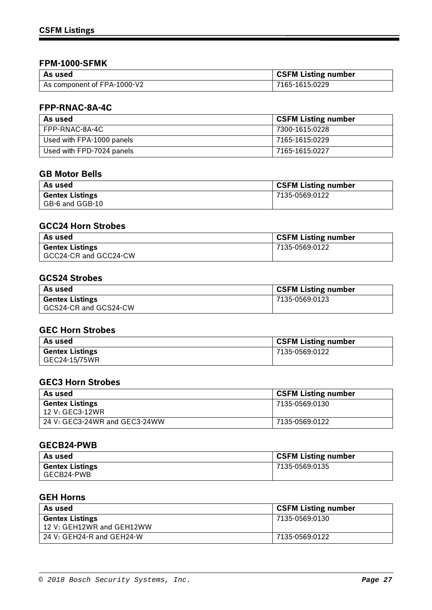### **FPM-1000-SFMK**

| l As used                   | CSFM Listing number |
|-----------------------------|---------------------|
| As component of FPA-1000-V2 | 7165-1615:0229      |

# **FPP-RNAC-8A-4C**

| As used                   | <b>CSFM Listing number</b> |
|---------------------------|----------------------------|
| FPP-RNAC-8A-4C            | 7300-1615:0228             |
| Used with FPA-1000 panels | 7165-1615:0229             |
| Used with FPD-7024 panels | 7165-1615:0227             |

## **GB Motor Bells**

| As used                | <b>CSFM Listing number</b> |
|------------------------|----------------------------|
| <b>Gentex Listings</b> | 7135-0569:0122             |
| GB-6 and GGB-10        |                            |

### **GCC24 Horn Strobes**

| As used                | <b>CSFM Listing number</b> |
|------------------------|----------------------------|
| <b>Gentex Listings</b> | 7135-0569:0122             |
| GCC24-CR and GCC24-CW  |                            |

### **GCS24 Strobes**

| As used                | <b>CSFM Listing number</b> |
|------------------------|----------------------------|
| <b>Gentex Listings</b> | 7135-0569:0123             |
| GCS24-CR and GCS24-CW  |                            |

# **GEC Horn Strobes**

| As used                | <b>CSFM Listing number</b> |
|------------------------|----------------------------|
| <b>Gentex Listings</b> | 7135-0569:0122             |
| GEC24-15/75WR          |                            |

## **GEC3 Horn Strobes**

| As used                                   | <b>CSFM Listing number</b> |
|-------------------------------------------|----------------------------|
| <b>Gentex Listings</b><br>12 V: GEC3-12WR | 7135-0569:0130             |
| 24 V: GEC3-24WR and GEC3-24WW             | 7135-0569:0122             |

### **GECB24-PWB**

| As used                | <b>CSFM Listing number</b> |
|------------------------|----------------------------|
| <b>Gentex Listings</b> | 7135-0569:0135             |
| GECB24-PWB             |                            |

### **GEH Horns**

| As used                   | <b>CSFM Listing number</b> |
|---------------------------|----------------------------|
| <b>Gentex Listings</b>    | 7135-0569:0130             |
| 12 V: GEH12WR and GEH12WW |                            |
| 24 V: GEH24-R and GEH24-W | 7135-0569:0122             |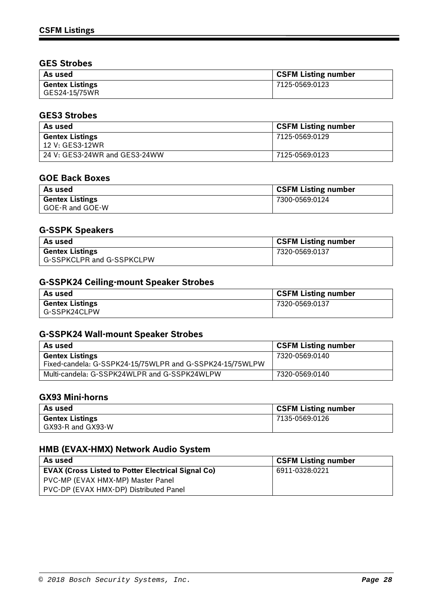## **GES Strobes**

| As used                                 | <b>CSFM Listing number</b> |
|-----------------------------------------|----------------------------|
| <b>Gentex Listings</b><br>GES24-15/75WR | 7125-0569:0123             |

### **GES3 Strobes**

| As used                       | <b>CSFM Listing number</b> |
|-------------------------------|----------------------------|
| <b>Gentex Listings</b>        | 7125-0569:0129             |
| 12 V: GES3-12WR               |                            |
| 24 V: GES3-24WR and GES3-24WW | 7125-0569:0123             |

### **GOE Back Boxes**

| As used                | <b>CSFM Listing number</b> |
|------------------------|----------------------------|
| <b>Gentex Listings</b> | 7300-0569:0124             |
| GOE-R and GOE-W        |                            |

## **G-SSPK Speakers**

| As used                   | <b>CSFM Listing number</b> |
|---------------------------|----------------------------|
| <b>Gentex Listings</b>    | 7320-0569:0137             |
| G-SSPKCLPR and G-SSPKCLPW |                            |

## **G-SSPK24 Ceiling-mount Speaker Strobes**

| As used                | <b>CSFM Listing number</b> |
|------------------------|----------------------------|
| <b>Gentex Listings</b> | 7320-0569:0137             |
| G-SSPK24CLPW           |                            |

# **G-SSPK24 Wall-mount Speaker Strobes**

| As used                                                                            | <b>CSFM Listing number</b> |
|------------------------------------------------------------------------------------|----------------------------|
| <b>Gentex Listings</b><br>Fixed-candela: G-SSPK24-15/75WLPR and G-SSPK24-15/75WLPW | 7320-0569:0140             |
| Multi-candela: G-SSPK24WLPR and G-SSPK24WLPW                                       | 7320-0569:0140             |

### **GX93 Mini-horns**

| As used                | <b>CSFM Listing number</b> |
|------------------------|----------------------------|
| <b>Gentex Listings</b> | 7135-0569:0126             |
| GX93-R and GX93-W      |                            |

## **HMB (EVAX-HMX) Network Audio System**

| As used                                            | GSFM Listing number |
|----------------------------------------------------|---------------------|
| EVAX (Cross Listed to Potter Electrical Signal Co) | 6911-0328:0221      |
| PVC-MP (EVAX HMX-MP) Master Panel                  |                     |
| PVC-DP (EVAX HMX-DP) Distributed Panel             |                     |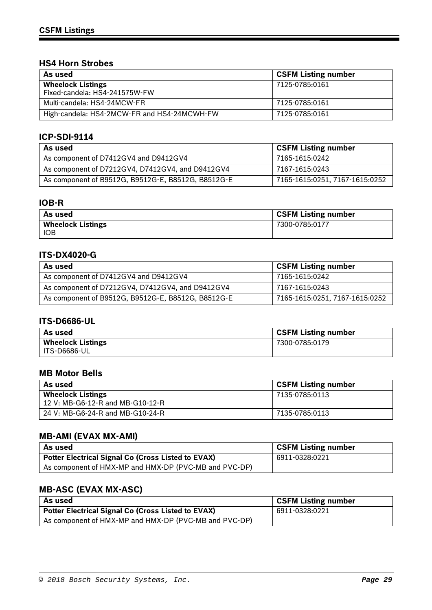### **HS4 Horn Strobes**

| As used                                                   | <b>CSFM Listing number</b> |
|-----------------------------------------------------------|----------------------------|
| <b>Wheelock Listings</b><br>Fixed-candela: HS4-241575W-FW | 7125-0785:0161             |
| Multi-candela: HS4-24MCW-FR                               | 7125-0785:0161             |
| High-candela: HS4-2MCW-FR and HS4-24MCWH-FW               | 7125-0785:0161             |

### **ICP-SDI-9114**

| As used                                            | <b>CSFM Listing number</b>     |
|----------------------------------------------------|--------------------------------|
| As component of D7412GV4 and D9412GV4              | 7165-1615:0242                 |
| As component of D7212GV4, D7412GV4, and D9412GV4   | 7167-1615:0243                 |
| As component of B9512G, B9512G-E, B8512G, B8512G-E | 7165-1615:0251, 7167-1615:0252 |

## **IOB-R**

| As used                  | <b>CSFM Listing number</b> |
|--------------------------|----------------------------|
| <b>Wheelock Listings</b> | 7300-0785:0177             |
| <b>IOB</b>               |                            |

### **ITS-DX4020-G**

| As used                                            | <b>CSFM Listing number</b>     |
|----------------------------------------------------|--------------------------------|
| As component of D7412GV4 and D9412GV4              | 7165-1615:0242                 |
| As component of D7212GV4, D7412GV4, and D9412GV4   | 7167-1615:0243                 |
| As component of B9512G, B9512G-E, B8512G, B8512G-E | 7165-1615:0251, 7167-1615:0252 |

### **ITS-D6686-UL**

| As used                  | <b>CSFM Listing number</b> |
|--------------------------|----------------------------|
| <b>Wheelock Listings</b> | 7300-0785:0179             |
| l ITS-D6686-UL           |                            |

### **MB Motor Bells**

| As used                                                      | <b>CSFM Listing number</b> |
|--------------------------------------------------------------|----------------------------|
| <b>Wheelock Listings</b><br>12 V: MB-G6-12-R and MB-G10-12-R | 7135-0785:0113             |
| 24 V: MB-G6-24-R and MB-G10-24-R                             | 7135-0785:0113             |

# **MB-AMI (EVAX MX-AMI)**

| As used                                                   | <b>CSFM Listing number</b> |
|-----------------------------------------------------------|----------------------------|
| <b>Potter Electrical Signal Co (Cross Listed to EVAX)</b> | 6911-0328:0221             |
| As component of HMX-MP and HMX-DP (PVC-MB and PVC-DP)     |                            |

# **MB-ASC (EVAX MX-ASC)**

| l As used                                             | <b>CSFM Listing number</b> |
|-------------------------------------------------------|----------------------------|
| Potter Electrical Signal Co (Cross Listed to EVAX)    | 6911-0328:0221             |
| As component of HMX-MP and HMX-DP (PVC-MB and PVC-DP) |                            |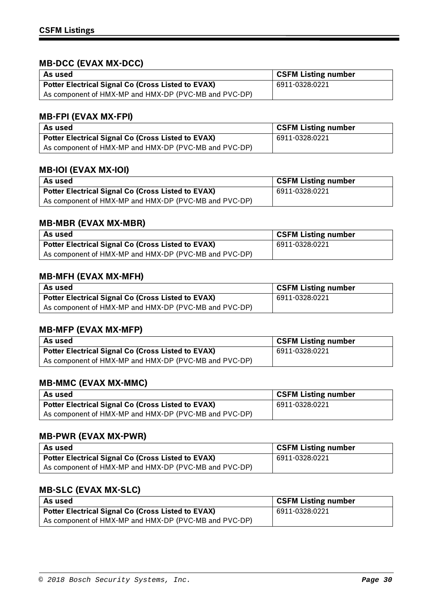# **MB-DCC (EVAX MX-DCC)**

| ' As used                                             | <b>CSFM Listing number</b> |
|-------------------------------------------------------|----------------------------|
| Potter Electrical Signal Co (Cross Listed to EVAX)    | 6911-0328:0221             |
| As component of HMX-MP and HMX-DP (PVC-MB and PVC-DP) |                            |

### **MB-FPI (EVAX MX-FPI)**

| As used                                               | <b>CSFM Listing number</b> |
|-------------------------------------------------------|----------------------------|
| Potter Electrical Signal Co (Cross Listed to EVAX)    | 6911-0328:0221             |
| As component of HMX-MP and HMX-DP (PVC-MB and PVC-DP) |                            |

### **MB-IOI (EVAX MX-IOI)**

| As used                                               | <b>CSFM Listing number</b> |
|-------------------------------------------------------|----------------------------|
| Potter Electrical Signal Co (Cross Listed to EVAX)    | 6911-0328:0221             |
| As component of HMX-MP and HMX-DP (PVC-MB and PVC-DP) |                            |

### **MB-MBR (EVAX MX-MBR)**

| As used                                               | <b>CSFM Listing number</b> |
|-------------------------------------------------------|----------------------------|
| Potter Electrical Signal Co (Cross Listed to EVAX)    | 6911-0328:0221             |
| As component of HMX-MP and HMX-DP (PVC-MB and PVC-DP) |                            |

# **MB-MFH (EVAX MX-MFH)**

| As used                                               | <b>CSFM Listing number</b> |
|-------------------------------------------------------|----------------------------|
| Potter Electrical Signal Co (Cross Listed to EVAX)    | 6911-0328:0221             |
| As component of HMX-MP and HMX-DP (PVC-MB and PVC-DP) |                            |

## **MB-MFP (EVAX MX-MFP)**

| As used                                               | <b>CSFM Listing number</b> |
|-------------------------------------------------------|----------------------------|
| Potter Electrical Signal Co (Cross Listed to EVAX)    | 6911-0328:0221             |
| As component of HMX-MP and HMX-DP (PVC-MB and PVC-DP) |                            |

### **MB-MMC (EVAX MX-MMC)**

| As used                                               | <b>CSFM Listing number</b> |
|-------------------------------------------------------|----------------------------|
| Potter Electrical Signal Co (Cross Listed to EVAX)    | 6911-0328:0221             |
| As component of HMX-MP and HMX-DP (PVC-MB and PVC-DP) |                            |

### **MB-PWR (EVAX MX-PWR)**

| l As used                                             | <b>CSFM Listing number</b> |
|-------------------------------------------------------|----------------------------|
| Potter Electrical Signal Co (Cross Listed to EVAX)    | 6911-0328:0221             |
| As component of HMX-MP and HMX-DP (PVC-MB and PVC-DP) |                            |

# **MB-SLC (EVAX MX-SLC)**

| As used                                               | <b>CSFM Listing number</b> |
|-------------------------------------------------------|----------------------------|
| Potter Electrical Signal Co (Cross Listed to EVAX)    | 6911-0328:0221             |
| As component of HMX-MP and HMX-DP (PVC-MB and PVC-DP) |                            |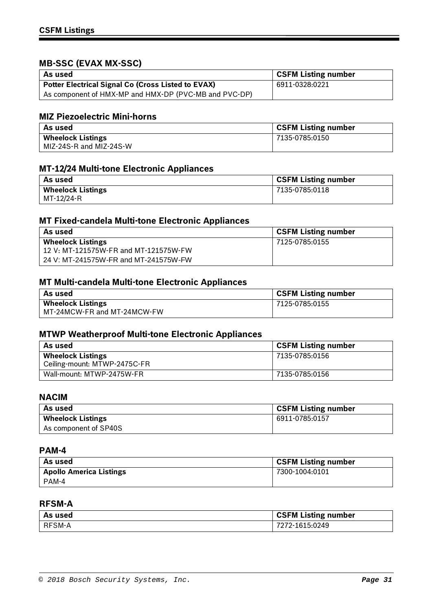# **MB-SSC (EVAX MX-SSC)**

| l As used                                                 | <b>CSFM Listing number</b> |
|-----------------------------------------------------------|----------------------------|
| <b>Potter Electrical Signal Co (Cross Listed to EVAX)</b> | 6911-0328:0221             |
| As component of HMX-MP and HMX-DP (PVC-MB and PVC-DP)     |                            |

# **MIZ Piezoelectric Mini-horns**

| As used                  | <b>CSFM Listing number</b> |
|--------------------------|----------------------------|
| <b>Wheelock Listings</b> | 7135-0785:0150             |
| MIZ-24S-R and MIZ-24S-W  |                            |

# **MT-12/24 Multi-tone Electronic Appliances**

| As used                  | <b>CSFM Listing number</b> |
|--------------------------|----------------------------|
| <b>Wheelock Listings</b> | 7135-0785:0118             |
| MT-12/24-R               |                            |

## **MT Fixed-candela Multi-tone Electronic Appliances**

| As used                               | <b>CSFM Listing number</b> |
|---------------------------------------|----------------------------|
| <b>Wheelock Listings</b>              | 7125-0785:0155             |
| 12 V: MT-121575W-FR and MT-121575W-FW |                            |
| 24 V: MT-241575W-FR and MT-241575W-FW |                            |

## **MT Multi-candela Multi-tone Electronic Appliances**

| As used                     | <b>CSFM Listing number</b> |
|-----------------------------|----------------------------|
| <b>Wheelock Listings</b>    | 7125-0785:0155             |
| MT-24MCW-FR and MT-24MCW-FW |                            |

## **MTWP Weatherproof Multi-tone Electronic Appliances**

| As used                                                  | <b>CSFM Listing number</b> |
|----------------------------------------------------------|----------------------------|
| <b>Wheelock Listings</b><br>Ceiling-mount: MTWP-2475C-FR | 7135-0785:0156             |
| Wall-mount: MTWP-2475W-FR                                | 7135-0785:0156             |

### **NACIM**

| As used                  | <b>CSFM Listing number</b> |
|--------------------------|----------------------------|
| <b>Wheelock Listings</b> | 6911-0785:0157             |
| As component of SP40S    |                            |

#### **PAM-4**

| As used                        | <b>CSFM Listing number</b> |
|--------------------------------|----------------------------|
| <b>Apollo America Listings</b> | 7300-1004:0101             |
| PAM-4                          |                            |

# **RFSM-A**

| As used | <b>CSFM Listing number</b> |
|---------|----------------------------|
| RFSM-A  | 7272-1615:0249             |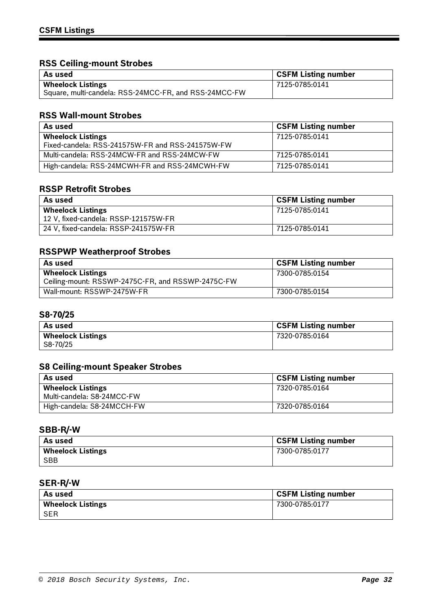# **RSS Ceiling-mount Strobes**

| l As used                                             | <b>CSFM Listing number</b> |
|-------------------------------------------------------|----------------------------|
| <b>Wheelock Listings</b>                              | 7125-0785:0141             |
| Square, multi-candela: RSS-24MCC-FR, and RSS-24MCC-FW |                            |

## **RSS Wall-mount Strobes**

| As used                                          | <b>CSFM Listing number</b> |
|--------------------------------------------------|----------------------------|
| <b>Wheelock Listings</b>                         | 7125-0785:0141             |
| Fixed-candela: RSS-241575W-FR and RSS-241575W-FW |                            |
| Multi-candela: RSS-24MCW-FR and RSS-24MCW-FW     | 7125-0785:0141             |
| High-candela: RSS-24MCWH-FR and RSS-24MCWH-FW    | 7125-0785:0141             |

## **RSSP Retrofit Strobes**

| As used                              | <b>CSFM Listing number</b> |
|--------------------------------------|----------------------------|
| <b>Wheelock Listings</b>             | 7125-0785:0141             |
| 12 V, fixed-candela: RSSP-121575W-FR |                            |
| 24 V, fixed-candela: RSSP-241575W-FR | 7125-0785:0141             |

# **RSSPWP Weatherproof Strobes**

| As used                                           | <b>CSFM Listing number</b> |
|---------------------------------------------------|----------------------------|
| <b>Wheelock Listings</b>                          | 7300-0785:0154             |
| Ceiling-mount: RSSWP-2475C-FR, and RSSWP-2475C-FW |                            |
| Wall-mount: RSSWP-2475W-FR                        | 7300-0785:0154             |

### **S8-70/25**

| <b>CSFM Listing number</b> |
|----------------------------|
| 7320-0785:0164             |
|                            |

# **S8 Ceiling-mount Speaker Strobes**

| As used                    | <b>CSFM Listing number</b> |
|----------------------------|----------------------------|
| <b>Wheelock Listings</b>   | 7320-0785:0164             |
| Multi-candela: S8-24MCC-FW |                            |
| High-candela: S8-24MCCH-FW | 7320-0785:0164             |

### **SBB-R/-W**

| As used                  | <b>CSFM Listing number</b> |
|--------------------------|----------------------------|
| <b>Wheelock Listings</b> | 7300-0785:0177             |
| <b>SBB</b>               |                            |

## **SER-R/-W**

| l As used                | <b>CSFM Listing number</b> |
|--------------------------|----------------------------|
| <b>Wheelock Listings</b> | 7300-0785:0177             |
| <b>SER</b>               |                            |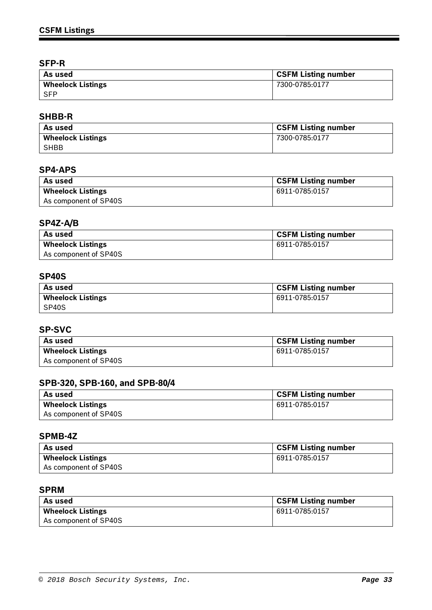## **SFP-R**

| As used                  | <b>CSFM Listing number</b> |
|--------------------------|----------------------------|
| <b>Wheelock Listings</b> | 7300-0785:0177             |
| <b>SFP</b>               |                            |

## **SHBB-R**

| As used                  | <b>CSFM Listing number</b> |
|--------------------------|----------------------------|
| <b>Wheelock Listings</b> | 7300-0785:0177             |
| SHBB                     |                            |

### **SP4-APS**

| As used                  | <b>CSFM Listing number</b> |
|--------------------------|----------------------------|
| <b>Wheelock Listings</b> | 6911-0785:0157             |
| As component of SP40S    |                            |

# **SP4Z-A/B**

| As used                  | <b>CSFM Listing number</b> |
|--------------------------|----------------------------|
| <b>Wheelock Listings</b> | 6911-0785:0157             |
| As component of SP40S    |                            |

### **SP40S**

| As used                  | <b>CSFM Listing number</b> |
|--------------------------|----------------------------|
| <b>Wheelock Listings</b> | 6911-0785:0157             |
| SP40S                    |                            |

# **SP-SVC**

| As used                  | <b>CSFM Listing number</b> |
|--------------------------|----------------------------|
| <b>Wheelock Listings</b> | 6911-0785:0157             |
| As component of SP40S    |                            |

## **SPB-320, SPB-160, and SPB-80/4**

| As used                  | <b>CSFM Listing number</b> |
|--------------------------|----------------------------|
| <b>Wheelock Listings</b> | 6911-0785:0157             |
| As component of SP40S    |                            |

### **SPMB-4Z**

| As used                  | <b>CSFM Listing number</b> |
|--------------------------|----------------------------|
| <b>Wheelock Listings</b> | 6911-0785:0157             |
| As component of SP40S    |                            |

# **SPRM**

| As used                  | <b>CSFM Listing number</b> |
|--------------------------|----------------------------|
| <b>Wheelock Listings</b> | 6911-0785:0157             |
| As component of SP40S    |                            |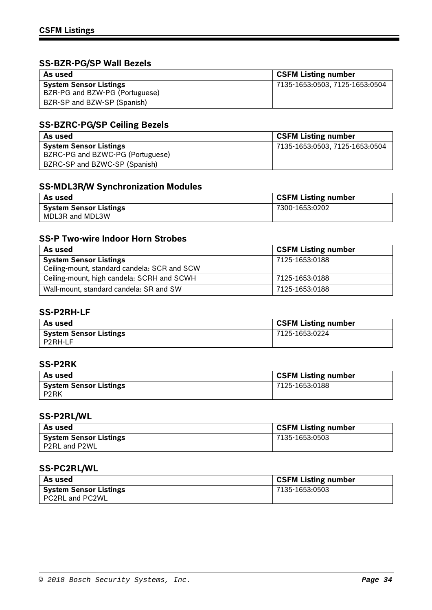# **SS-BZR-PG/SP Wall Bezels**

| As used                        | <b>CSFM Listing number</b>     |
|--------------------------------|--------------------------------|
| <b>System Sensor Listings</b>  | 7135-1653:0503, 7125-1653:0504 |
| BZR-PG and BZW-PG (Portuguese) |                                |
| BZR-SP and BZW-SP (Spanish)    |                                |

## **SS-BZRC-PG/SP Ceiling Bezels**

| As used                          | <b>CSFM Listing number</b>     |
|----------------------------------|--------------------------------|
| <b>System Sensor Listings</b>    | 7135-1653:0503, 7125-1653:0504 |
| BZRC-PG and BZWC-PG (Portuguese) |                                |
| BZRC-SP and BZWC-SP (Spanish)    |                                |

## **SS-MDL3R/W Synchronization Modules**

| As used                       | <b>CSFM Listing number</b> |
|-------------------------------|----------------------------|
| <b>System Sensor Listings</b> | 7300-1653:0202             |
| MDL3R and MDL3W               |                            |

## **SS-P Two-wire Indoor Horn Strobes**

| As used                                      | <b>CSFM Listing number</b> |
|----------------------------------------------|----------------------------|
| <b>System Sensor Listings</b>                | 7125-1653:0188             |
| Ceiling-mount, standard candela: SCR and SCW |                            |
| Ceiling-mount, high candela: SCRH and SCWH   | 7125-1653:0188             |
| Wall-mount, standard candela: SR and SW      | 7125-1653:0188             |

### **SS-P2RH-LF**

| As used                       | <b>CSFM Listing number</b> |
|-------------------------------|----------------------------|
| <b>System Sensor Listings</b> | 7125-1653:0224             |
| I P2RH-LF                     |                            |

# **SS-P2RK**

| As used                        | <b>CSFM Listing number</b> |
|--------------------------------|----------------------------|
| System Sensor Listings<br>P2RK | 7125-1653:0188             |

# **SS-P2RL/WL**

| As used                | <b>CSFM Listing number</b> |
|------------------------|----------------------------|
| System Sensor Listings | 7135-1653:0503             |
| P2RL and P2WL          |                            |

## **SS-PC2RL/WL**

| As used                                          | <b>CSFM Listing number</b> |
|--------------------------------------------------|----------------------------|
| <b>System Sensor Listings</b><br>PC2RL and PC2WL | 7135-1653:0503             |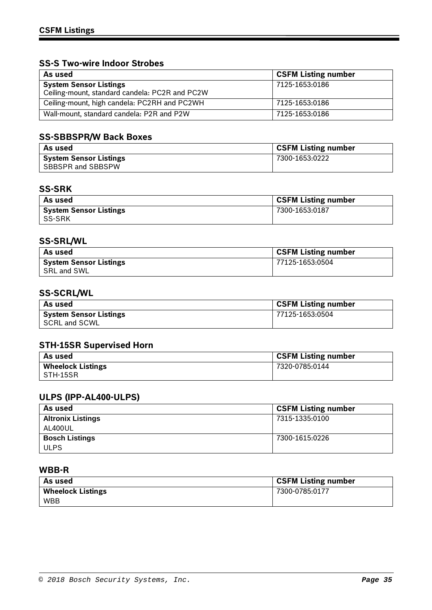## **SS-S Two-wire Indoor Strobes**

| As used                                        | <b>CSFM Listing number</b> |
|------------------------------------------------|----------------------------|
| <b>System Sensor Listings</b>                  | 7125-1653:0186             |
| Ceiling-mount, standard candela: PC2R and PC2W |                            |
| Ceiling-mount, high candela: PC2RH and PC2WH   | 7125-1653:0186             |
| Wall-mount, standard candela: P2R and P2W      | 7125-1653:0186             |

# **SS-SBBSPR/W Back Boxes**

| As used                       | <b>CSFM Listing number</b> |
|-------------------------------|----------------------------|
| <b>System Sensor Listings</b> | 7300-1653:0222             |
| SBBSPR and SBBSPW             |                            |

# **SS-SRK**

| As used                                 | <b>CSFM Listing number</b> |
|-----------------------------------------|----------------------------|
| <b>System Sensor Listings</b><br>SS-SRK | 7300-1653:0187             |

## **SS-SRL/WL**

| As used                       | <b>CSFM Listing number</b> |
|-------------------------------|----------------------------|
| <b>System Sensor Listings</b> | 77125-1653:0504            |
| SRL and SWL                   |                            |

# **SS-SCRL/WL**

| As used                | <b>CSFM Listing number</b> |
|------------------------|----------------------------|
| System Sensor Listings | 77125-1653:0504            |
| SCRL and SCWL          |                            |

## **STH-15SR Supervised Horn**

| As used                  | <b>CSFM Listing number</b> |
|--------------------------|----------------------------|
| <b>Wheelock Listings</b> | 7320-0785:0144             |
| STH-15SR                 |                            |

## **ULPS (IPP-AL400-ULPS)**

| As used                  | <b>CSFM Listing number</b> |
|--------------------------|----------------------------|
| <b>Altronix Listings</b> | 7315-1335:0100             |
| AL400UL                  |                            |
| <b>Bosch Listings</b>    | 7300-1615:0226             |
| <b>ULPS</b>              |                            |

### **WBB-R**

| As used                  | <b>CSFM Listing number</b> |
|--------------------------|----------------------------|
| <b>Wheelock Listings</b> | 7300-0785:0177             |
| <b>WBB</b>               |                            |